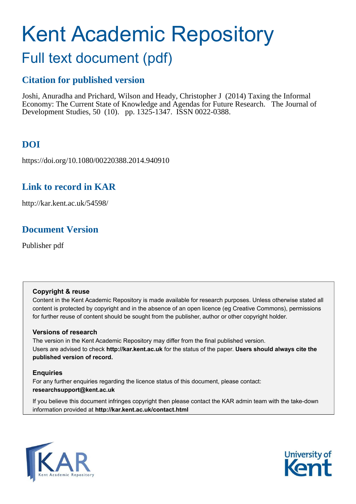# Kent Academic Repository

## Full text document (pdf)

## **Citation for published version**

Joshi, Anuradha and Prichard, Wilson and Heady, Christopher J (2014) Taxing the Informal Economy: The Current State of Knowledge and Agendas for Future Research. The Journal of Development Studies, 50 (10). pp. 1325-1347. ISSN 0022-0388.

## **DOI**

https://doi.org/10.1080/00220388.2014.940910

## **Link to record in KAR**

http://kar.kent.ac.uk/54598/

## **Document Version**

Publisher pdf

#### **Copyright & reuse**

Content in the Kent Academic Repository is made available for research purposes. Unless otherwise stated all content is protected by copyright and in the absence of an open licence (eg Creative Commons), permissions for further reuse of content should be sought from the publisher, author or other copyright holder.

#### **Versions of research**

The version in the Kent Academic Repository may differ from the final published version. Users are advised to check **http://kar.kent.ac.uk** for the status of the paper. **Users should always cite the published version of record.**

#### **Enquiries**

For any further enquiries regarding the licence status of this document, please contact: **researchsupport@kent.ac.uk**

If you believe this document infringes copyright then please contact the KAR admin team with the take-down information provided at **http://kar.kent.ac.uk/contact.html**



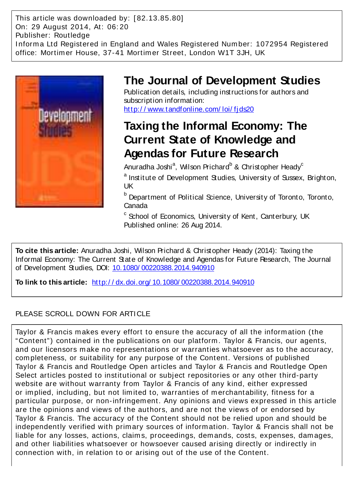This article was downloaded by: [ 82.13.85.80] On: 29 August 2014, At: 06: 20 Publisher: Routledge I nform a Ltd Registered in England and Wales Registered Num ber: 1072954 Registered office: Mortim er House, 37-41 Mortim er Street, London W1T 3JH, UK



## **The Journal of Development Studies**

Publication details, including instructions for authors and subscription information: http://www.tandfonline.com/loi/fids20

## **Taxing the Informal Economy: The Current State of Knowledge and Agendas for Future Research**

Anuradha Joshi<sup>a</sup>, Wilson Prichard<sup>b</sup> & Christopher Heady<sup>c</sup>

<sup>a</sup> Institute of Development Studies, University of Sussex, Brighton, UK

**b** Department of Political Science, University of Toronto, Toronto, Canada

<sup>c</sup> School of Economics, University of Kent, Canterbury, UK Published online: 26 Aug 2014.

**To cite this article:** Anuradha Joshi, Wilson Prichard & Christopher Heady (2014): Taxing the Informal Economy: The Current State of Knowledge and Agendas for Future Research, The Journal of Development Studies, DOI: [10.1080/ 00220388.2014.940910](http://www.tandfonline.com/action/showCitFormats?doi=10.1080/00220388.2014.940910)

**To link to this article:** [http:/ / dx.doi.org/ 10.1080/ 00220388.2014.940910](http://dx.doi.org/10.1080/00220388.2014.940910)

#### PLEASE SCROLL DOWN FOR ARTICLE

Taylor & Francis m akes every effort to ensure the accuracy of all the inform ation (the "Content") contained in the publications on our platform . Taylor & Francis, our agents, and our licensors m ake no representations or warranties whatsoever as to the accuracy, com pleteness, or suitability for any purpose of the Content. Versions of published Taylor & Francis and Routledge Open articles and Taylor & Francis and Routledge Open Select articles posted to institutional or subject repositories or any other third-party website are without warranty from Taylor & Francis of any kind, either expressed or implied, including, but not limited to, warranties of merchantability, fitness for a particular purpose, or non-infringem ent. Any opinions and views expressed in this article are the opinions and views of the authors, and are not the views of or endorsed by Taylor & Francis. The accuracy of the Content should not be relied upon and should be independently verified with prim ary sources of inform ation. Taylor & Francis shall not be liable for any losses, actions, claim s, proceedings, dem ands, costs, expenses, dam ages, and other liabilities whatsoever or howsoever caused arising directly or indirectly in connection with, in relation to or arising out of the use of the Content.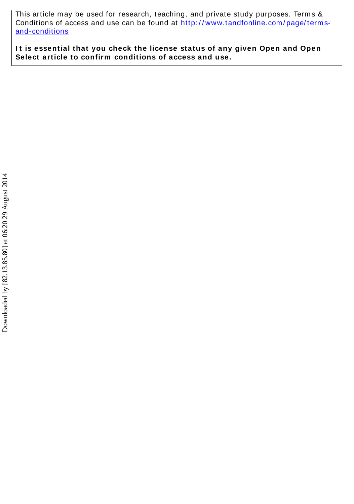<span id="page-2-0"></span>This article may be used for research, teaching, and private study purposes. Terms & Conditions of access and use can be found at http://www.tandfonline.com/page/terms[and-conditions](http://www.tandfonline.com/page/terms-and-conditions)

**I t is essential that you check the license status of any given Open and Open Select article to confirm conditions of access and use.**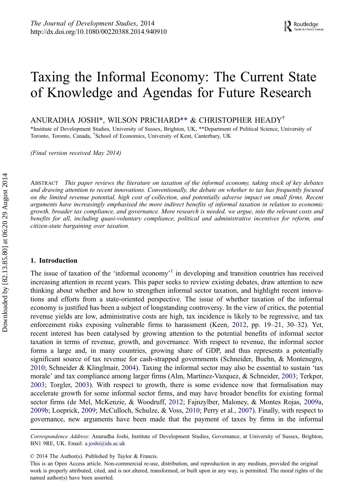## <span id="page-3-0"></span>Taxing the Informal Economy: The Current State of Knowledge and Agendas for Future Research

ANURADHA JOSH[I\\*](#page-2-0), WILSON PRICHARD[\\*\\*](#page-2-0) & CHRISTOPHER HEADY[†](#page-2-0)

\*Institute of Development Studies, University of Sussex, Brighton, UK, \*\*Department of Political Science, University of Toronto, Toronto, Canada, † School of Economics, University of Kent, Canterbury, UK

*(Final version received May 2014)*

ABSTRACT *This paper reviews the literature on taxation of the informal economy, taking stock of key debates and drawing attention to recent innovations. Conventionally, the debate on whether to tax has frequently focused on the limited revenue potential, high cost of collection, and potentially adverse impact on small firms. Recent arguments have increasingly emphasised the more indirect benefits of informal taxation in relation to economic growth, broader tax compliance, and governance. More research is needed, we argue, into the relevant costs and benefits for all, including quasi-voluntary compliance, political and administrative incentives for reform, and citizen-state bargaining over taxation.*

#### 1. Introduction

The issue of taxation of the 'informal economy'<sup>[1](#page-19-0)</sup> in developing and transition countries has received increasing attention in recent years. This paper seeks to review existing debates, draw attention to new thinking about whether and how to strengthen informal sector taxation, and highlight recent innovations and efforts from a state-oriented perspective. The issue of whether taxation of the informal economy is justified has been a subject of longstanding controversy. In the view of critics, the potential revenue yields are low, administrative costs are high, tax incidence is likely to be regressive, and tax enforcement risks exposing vulnerable firms to harassment (Keen, [2012,](#page-23-0) pp. 19–21, 30–32). Yet, recent interest has been catalysed by growing attention to the potential benefits of informal sector taxation in terms of revenue, growth, and governance. With respect to revenue, the informal sector forms a large and, in many countries, growing share of GDP, and thus represents a potentially significant source of tax revenue for cash-strapped governments (Schneider, Buehn, & Montenegro, [2010](#page-24-0); Schneider & Klinglmair, [2004](#page-24-0)). Taxing the informal sector may also be essential to sustain 'tax morale' and tax compliance among larger firms (Alm, Martinez-Vazquez, & Schneider, [2003;](#page-21-0) Terkper, [2003](#page-24-0); Torgler, [2003\)](#page-24-0). With respect to growth, there is some evidence now that formalisation may accelerate growth for some informal sector firms, and may have broader benefits for existing formal sector firms (de Mel, McKenzie, & Woodruff, [2012](#page-21-0); Fajnzylber, Maloney, & Montes Rojas, [2009a](#page-21-0), [2009b](#page-21-0); Loeprick, [2009](#page-23-0); McCulloch, Schulze, & Voss, [2010;](#page-23-0) Perry et al., [2007\)](#page-23-0). Finally, with respect to governance, new arguments have been made that the payment of taxes by firms in the informal

© 2014 The Author(s). Published by Taylor & Francis.

This is an Open Access article. Non-commercial re-use, distribution, and reproduction in any medium, provided the original work is properly attributed, cited, and is not altered, transformed, or built upon in any way, is permitted. The moral rights of the named author(s) have been asserted.

*Correspondence Address*: Anuradha Joshi, Institute of Development Studies, Governance, at University of Sussex, Brighton, BN1 9RE, UK. Email: a.joshi@ids.ac.uk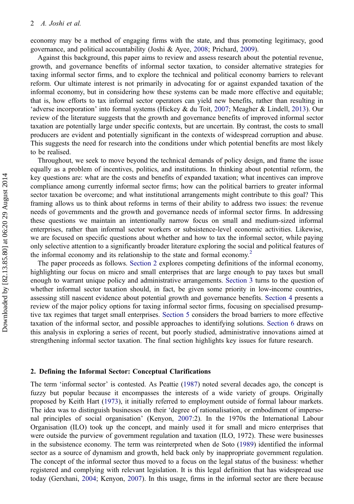economy may be a method of engaging firms with the state, and thus promoting legitimacy, good governance, and political accountability (Joshi & Ayee, [2008](#page-22-0); Prichard, [2009](#page-23-0)).

Against this background, this paper aims to review and assess research about the potential revenue, growth, and governance benefits of informal sector taxation, to consider alternative strategies for taxing informal sector firms, and to explore the technical and political economy barriers to relevant reform. Our ultimate interest is not primarily in advocating for or against expanded taxation of the informal economy, but in considering how these systems can be made more effective and equitable; that is, how efforts to tax informal sector operators can yield new benefits, rather than resulting in 'adverse incorporation' into formal systems (Hickey & du Toit, [2007;](#page-22-0) Meagher & Lindell, [2013\)](#page-23-0). Our review of the literature suggests that the growth and governance benefits of improved informal sector taxation are potentially large under specific contexts, but are uncertain. By contrast, the costs to small producers are evident and potentially significant in the contexts of widespread corruption and abuse. This suggests the need for research into the conditions under which potential benefits are most likely to be realised.

Throughout, we seek to move beyond the technical demands of policy design, and frame the issue equally as a problem of incentives, politics, and institutions. In thinking about potential reform, the key questions are: what are the costs and benefits of expanded taxation; what incentives can improve compliance among currently informal sector firms; how can the political barriers to greater informal sector taxation be overcome; and what institutional arrangements might contribute to this goal? This framing allows us to think about reforms in terms of their ability to address two issues: the revenue needs of governments and the growth and governance needs of informal sector firms. In addressing these questions we maintain an intentionally narrow focus on small and medium-sized informal enterprises, rather than informal sector workers or subsistence-level economic activities. Likewise, we are focused on specific questions about whether and how to tax the informal sector, while paying only selective attention to a significantly broader literature exploring the social and political features of the informal economy and its relationship to the state and formal economy.<sup>[2](#page-19-0)</sup>

The paper proceeds as follows. [Section 2](#page-3-0) explores competing definitions of the informal economy, highlighting our focus on micro and small enterprises that are large enough to pay taxes but small enough to warrant unique policy and administrative arrangements. Section 3 turns to the question of whether informal sector taxation should, in fact, be given some priority in low-income countries, assessing still nascent evidence about potential growth and governance benefits. [Section 4](#page-8-0) presents a review of the major policy options for taxing informal sector firms, focusing on specialised presumptive tax regimes that target small enterprises. [Section 5](#page-11-0) considers the broad barriers to more effective taxation of the informal sector, and possible approaches to identifying solutions. [Section 6](#page-15-0) draws on this analysis in exploring a series of recent, but poorly studied, administrative innovations aimed at strengthening informal sector taxation. The final section highlights key issues for future research.

#### 2. Defining the Informal Sector: Conceptual Clarifications

The term 'informal sector' is contested. As Peattie ([1987](#page-23-0)) noted several decades ago, the concept is fuzzy but popular because it encompasses the interests of a wide variety of groups. Originally proposed by Keith Hart [\(1973](#page-22-0)), it initially referred to employment outside of formal labour markets. The idea was to distinguish businesses on their 'degree of rationalisation, or embodiment of impersonal principles of social organisation' (Kenyon, [2007](#page-23-0):2). In the 1970s the International Labour Organisation (ILO) took up the concept, and mainly used it for small and micro enterprises that were outside the purview of government regulation and taxation (ILO, 1972). These were businesses in the subsistence economy. The term was reinterpreted when de Soto ([1989\)](#page-21-0) identified the informal sector as a source of dynamism and growth, held back only by inappropriate government regulation. The concept of the informal sector thus moved to a focus on the legal status of the business: whether registered and complying with relevant legislation. It is this legal definition that has widespread use today (Gerxhani, [2004](#page-22-0); Kenyon, [2007\)](#page-23-0). In this usage, firms in the informal sector are there because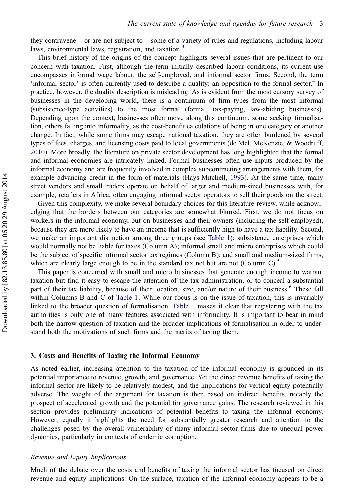<span id="page-5-0"></span>they contravene – or are not subject to – some of a variety of rules and regulations, including labour laws, environmental laws, registration, and taxation.<sup>[3](#page-19-0)</sup>

This brief history of the origins of the concept highlights several issues that are pertinent to our concern with taxation. First, although the term initially described labour conditions, its current use encompasses informal wage labour, the self-employed, and informal sector firms. Second, the term 'informal sector' is often currently used to describe a duality: an opposition to the formal sector.<sup>[4](#page-19-0)</sup> In practice, however, the duality description is misleading. As is evident from the most cursory survey of businesses in the developing world, there is a continuum of firm types from the most informal (subsistence-type activities) to the most formal (formal, tax-paying, law-abiding businesses). Depending upon the context, businesses often move along this continuum, some seeking formalisation, others falling into informality, as the cost-benefit calculations of being in one category or another change. In fact, while some firms may escape national taxation, they are often burdened by several types of fees, charges, and licensing costs paid to local governments (de Mel, McKenzie, & Woodruff, [2010](#page-21-0)). More broadly, the literature on private sector development has long highlighted that the formal and informal economies are intricately linked. Formal businesses often use inputs produced by the informal economy and are frequently involved in complex subcontracting arrangements with them, for example advancing credit in the form of materials (Hays-Mitchell, [1993\)](#page-22-0). At the same time, many street vendors and small traders operate on behalf of larger and medium-sized businesses with, for example, retailers in Africa, often engaging informal sector operators to sell their goods on the street.

Given this complexity, we make several boundary choices for this literature review, while acknowledging that the borders between our categories are somewhat blurred. First, we do not focus on workers in the informal economy, but on businesses and their owners (including the self-employed), because they are more likely to have an income that is sufficiently high to have a tax liability. Second, we make an important distinction among three groups (see Table 1): subsistence enterprises which would normally not be liable for taxes (Column A); informal small and micro enterprises which could be the subject of specific informal sector tax regimes (Column B); and small and medium-sized firms, which are clearly large enough to be in the standard tax net but are not (Column C).<sup>[5](#page-20-0)</sup>

This paper is concerned with small and micro businesses that generate enough income to warrant taxation but find it easy to escape the attention of the tax administration, or to conceal a substantial part of their tax liability, because of their location, size, and/or nature of their business.<sup>[6](#page-20-0)</sup> These fall within Columns B and C of Table 1. While our focus is on the issue of taxation, this is invariably linked to the broader question of formalisation. Table 1 makes it clear that registering with the tax authorities is only one of many features associated with informality. It is important to bear in mind both the narrow question of taxation and the broader implications of formalisation in order to understand both the motivations of such firms and the merits of taxing them.

#### 3. Costs and Benefits of Taxing the Informal Economy

As noted earlier, increasing attention to the taxation of the informal economy is grounded in its potential importance to revenue, growth, and governance. Yet the direct revenue benefits of taxing the informal sector are likely to be relatively modest, and the implications for vertical equity potentially adverse. The weight of the argument for taxation is then based on indirect benefits, notably the prospect of accelerated growth and the potential for governance gains. The research reviewed in this section provides preliminary indications of potential benefits to taxing the informal economy. However, equally it highlights the need for substantially greater research and attention to the challenges posed by the overall vulnerability of many informal sector firms due to unequal power dynamics, particularly in contexts of endemic corruption.

#### *Revenue and Equity Implications*

Much of the debate over the costs and benefits of taxing the informal sector has focused on direct revenue and equity implications. On the surface, taxation of the informal economy appears to be a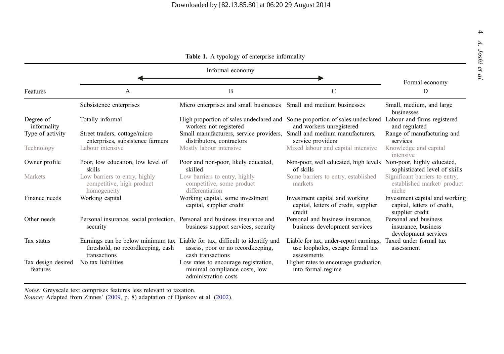| $\overline{\phantom{0}}$ |
|--------------------------|
| Ą.                       |
| Josi<br>ių:              |
| et                       |
| $\overline{a}$           |

| <b>Table 1.</b> A typology of enterprise informality |                                                                           |                                                                                                                                        |                                                                                           |                                                                                  |  |
|------------------------------------------------------|---------------------------------------------------------------------------|----------------------------------------------------------------------------------------------------------------------------------------|-------------------------------------------------------------------------------------------|----------------------------------------------------------------------------------|--|
|                                                      |                                                                           | Informal economy                                                                                                                       |                                                                                           |                                                                                  |  |
|                                                      |                                                                           |                                                                                                                                        |                                                                                           |                                                                                  |  |
| Features                                             | A                                                                         | B                                                                                                                                      | $\mathsf{C}$                                                                              | D                                                                                |  |
|                                                      | Subsistence enterprises                                                   | Micro enterprises and small businesses Small and medium businesses                                                                     |                                                                                           | Small, medium, and large<br>businesses                                           |  |
| Degree of<br>informality                             | Totally informal                                                          | High proportion of sales undeclared and Some proportion of sales undeclared<br>workers not registered                                  | and workers unregistered                                                                  | Labour and firms registered<br>and regulated                                     |  |
| Type of activity                                     | Street traders, cottage/micro<br>enterprises, subsistence farmers         | Small manufacturers, service providers, Small and medium manufacturers,<br>distributors, contractors                                   | service providers                                                                         | Range of manufacturing and<br>services                                           |  |
| Technology                                           | Labour intensive                                                          | Mostly labour intensive                                                                                                                | Mixed labour and capital intensive                                                        | Knowledge and capital<br>intensive                                               |  |
| Owner profile                                        | Poor, low education, low level of<br>skills                               | Poor and non-poor, likely educated,<br>skilled                                                                                         | Non-poor, well educated, high levels Non-poor, highly educated,<br>of skills              | sophisticated level of skills                                                    |  |
| Markets                                              | Low barriers to entry, highly<br>competitive, high product<br>homogeneity | Low barriers to entry, highly<br>competitive, some product<br>differentiation                                                          | Some barriers to entry, established<br>markets                                            | Significant barriers to entry,<br>established market/product<br>niche            |  |
| Finance needs                                        | Working capital                                                           | Working capital, some investment<br>capital, supplier credit                                                                           | Investment capital and working<br>capital, letters of credit, supplier<br>credit          | Investment capital and working<br>capital, letters of credit,<br>supplier credit |  |
| Other needs                                          | security                                                                  | Personal insurance, social protection, Personal and business insurance and<br>business support services, security                      | Personal and business insurance,<br>business development services                         | Personal and business<br>insurance, business<br>development services             |  |
| Tax status                                           | threshold, no record keeping, cash<br>transactions                        | Earnings can be below minimum tax Liable for tax, difficult to identify and<br>assess, poor or no record keeping,<br>cash transactions | Liable for tax, under-report earnings,<br>use loopholes, escape formal tax<br>assessments | Taxed under formal tax<br>assessment                                             |  |
| Tax design desired<br>features                       | No tax liabilities                                                        | Low rates to encourage registration,<br>minimal compliance costs, low<br>administration costs                                          | Higher rates to encourage graduation<br>into formal regime                                |                                                                                  |  |

*Notes:* Greyscale text comprises features less relevant to taxation. *Source:* Adapted from Zinnes' ([2009](#page-24-0), p. 8) adaptation of Djankov et al. [\(2002](#page-21-0)).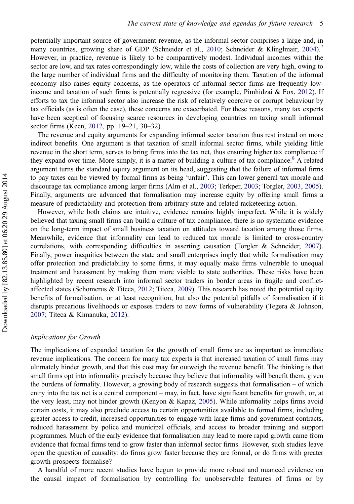potentially important source of government revenue, as the informal sector comprises a large and, in many countries, growing share of GDP (Schneider et al., [2010;](#page-24-0) Schneider & Klinglmair, [2004](#page-24-0)).<sup>[7](#page-20-0)</sup> However, in practice, revenue is likely to be comparatively modest. Individual incomes within the sector are low, and tax rates correspondingly low, while the costs of collection are very high, owing to the large number of individual firms and the difficulty of monitoring them. Taxation of the informal economy also raises equity concerns, as the operators of informal sector firms are frequently low-income and taxation of such firms is potentially regressive (for example, Pimhidzai & Fox, [2012](#page-23-0)). If efforts to tax the informal sector also increase the risk of relatively coercive or corrupt behaviour by tax officials (as is often the case), these concerns are exacerbated. For these reasons, many tax experts have been sceptical of focusing scarce resources in developing countries on taxing small informal sector firms (Keen, [2012](#page-23-0), pp. 19–21, 30–32).

The revenue and equity arguments for expanding informal sector taxation thus rest instead on more indirect benefits. One argument is that taxation of small informal sector firms, while yielding little revenue in the short term, serves to bring firms into the tax net, thus ensuring higher tax compliance if they expand over time. More simply, it is a matter of building a culture of tax compliance.<sup>[8](#page-20-0)</sup> A related argument turns the standard equity argument on its head, suggesting that the failure of informal firms to pay taxes can be viewed by formal firms as being 'unfair'. This can lower general tax morale and discourage tax compliance among larger firms (Alm et al., [2003](#page-21-0); Terkper, [2003](#page-24-0); Torgler, [2003,](#page-24-0) [2005\)](#page-24-0). Finally, arguments are advanced that formalisation may increase equity by offering small firms a measure of predictability and protection from arbitrary state and related racketeering action.

However, while both claims are intuitive, evidence remains highly imperfect. While it is widely believed that taxing small firms can build a culture of tax compliance, there is no systematic evidence on the long-term impact of small business taxation on attitudes toward taxation among those firms. Meanwhile, evidence that informality can lead to reduced tax morale is limited to cross-country correlations, with corresponding difficulties in asserting causation (Torgler & Schneider, [2007\)](#page-24-0). Finally, power inequities between the state and small enterprises imply that while formalisation may offer protection and predictability to some firms, it may equally make firms vulnerable to unequal treatment and harassment by making them more visible to state authorities. These risks have been highlighted by recent research into informal sector traders in border areas in fragile and conflictaffected states (Schomerus & Titeca, [2012](#page-24-0); Titeca, [2009](#page-24-0)). This research has noted the potential equity benefits of formalisation, or at least recognition, but also the potential pitfalls of formalisation if it disrupts precarious livelihoods or exposes traders to new forms of vulnerability (Tegera & Johnson, [2007](#page-24-0); Titeca & Kimanuka, [2012\)](#page-24-0).

#### *Implications for Growth*

The implications of expanded taxation for the growth of small firms are as important as immediate revenue implications. The concern for many tax experts is that increased taxation of small firms may ultimately hinder growth, and that this cost may far outweigh the revenue benefit. The thinking is that small firms opt into informality precisely because they believe that informality will benefit them, given the burdens of formality. However, a growing body of research suggests that formalisation – of which entry into the tax net is a central component – may, in fact, have significant benefits for growth, or, at the very least, may not hinder growth (Kenyon & Kapaz, [2005](#page-23-0)). While informality helps firms avoid certain costs, it may also preclude access to certain opportunities available to formal firms, including greater access to credit, increased opportunities to engage with large firms and government contracts, reduced harassment by police and municipal officials, and access to broader training and support programmes. Much of the early evidence that formalisation may lead to more rapid growth came from evidence that formal firms tend to grow faster than informal sector firms. However, such studies leave open the question of causality: do firms grow faster because they are formal, or do firms with greater growth prospects formalise?

A handful of more recent studies have begun to provide more robust and nuanced evidence on the causal impact of formalisation by controlling for unobservable features of firms or by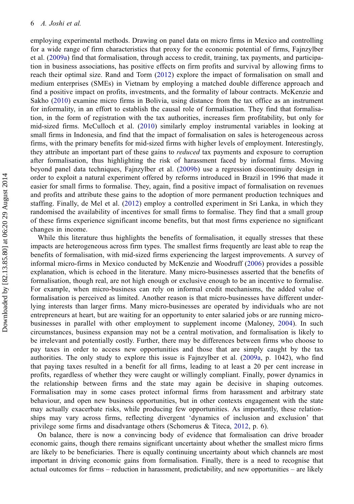<span id="page-8-0"></span>employing experimental methods. Drawing on panel data on micro firms in Mexico and controlling for a wide range of firm characteristics that proxy for the economic potential of firms, Fajnzylber et al. ([2009a\)](#page-21-0) find that formalisation, through access to credit, training, tax payments, and participation in business associations, has positive effects on firm profits and survival by allowing firms to reach their optimal size. Rand and Torm ([2012](#page-24-0)) explore the impact of formalisation on small and medium enterprises (SMEs) in Vietnam by employing a matched double difference approach and find a positive impact on profits, investments, and the formality of labour contracts. McKenzie and Sakho ([2010](#page-23-0)) examine micro firms in Bolivia, using distance from the tax office as an instrument for informality, in an effort to establish the causal role of formalisation. They find that formalisation, in the form of registration with the tax authorities, increases firm profitability, but only for mid-sized firms. McCulloch et al. [\(2010\)](#page-23-0) similarly employ instrumental variables in looking at small firms in Indonesia, and find that the impact of formalisation on sales is heterogeneous across firms, with the primary benefits for mid-sized firms with higher levels of employment. Interestingly, they attribute an important part of these gains to *reduced* tax payments and exposure to corruption after formalisation, thus highlighting the risk of harassment faced by informal firms. Moving beyond panel data techniques, Fajnzylber et al. ([2009b\)](#page-21-0) use a regression discontinuity design in order to exploit a natural experiment offered by reforms introduced in Brazil in 1996 that made it easier for small firms to formalise. They, again, find a positive impact of formalisation on revenues and profits and attribute these gains to the adoption of more permanent production techniques and staffing. Finally, de Mel et al. ([2012\)](#page-21-0) employ a controlled experiment in Sri Lanka, in which they randomised the availability of incentives for small firms to formalise. They find that a small group of these firms experience significant income benefits, but that most firms experience no significant changes in income.

While this literature thus highlights the benefits of formalisation, it equally stresses that these impacts are heterogeneous across firm types. The smallest firms frequently are least able to reap the benefits of formalisation, with mid-sized firms experiencing the largest improvements. A survey of informal micro-firms in Mexico conducted by McKenzie and Woodruff ([2006\)](#page-23-0) provides a possible explanation, which is echoed in the literature. Many micro-businesses asserted that the benefits of formalisation, though real, are not high enough or exclusive enough to be an incentive to formalise. For example, when micro-business can rely on informal credit mechanisms, the added value of formalisation is perceived as limited. Another reason is that micro-businesses have different underlying interests than larger firms. Many micro-businesses are operated by individuals who are not entrepreneurs at heart, but are waiting for an opportunity to enter salaried jobs or are running microbusinesses in parallel with other employment to supplement income (Maloney, [2004\)](#page-23-0). In such circumstances, business expansion may not be a central motivation, and formalisation is likely to be irrelevant and potentially costly. Further, there may be differences between firms who choose to pay taxes in order to access new opportunities and those that are simply caught by the tax authorities. The only study to explore this issue is Fajnzylber et al. ([2009a](#page-21-0), p. 1042), who find that paying taxes resulted in a benefit for all firms, leading to at least a 20 per cent increase in profits, regardless of whether they were caught or willingly compliant. Finally, power dynamics in the relationship between firms and the state may again be decisive in shaping outcomes. Formalisation may in some cases protect informal firms from harassment and arbitrary state behaviour, and open new business opportunities, but in other contexts engagement with the state may actually exacerbate risks, while producing few opportunities. As importantly, these relationships may vary across firms, reflecting divergent 'dynamics of inclusion and exclusion' that privilege some firms and disadvantage others (Schomerus & Titeca, [2012,](#page-24-0) p. 6).

On balance, there is now a convincing body of evidence that formalisation can drive broader economic gains, though there remains significant uncertainty about whether the smallest micro firms are likely to be beneficiaries. There is equally continuing uncertainty about which channels are most important in driving economic gains from formalisation. Finally, there is a need to recognise that actual outcomes for firms – reduction in harassment, predictability, and new opportunities – are likely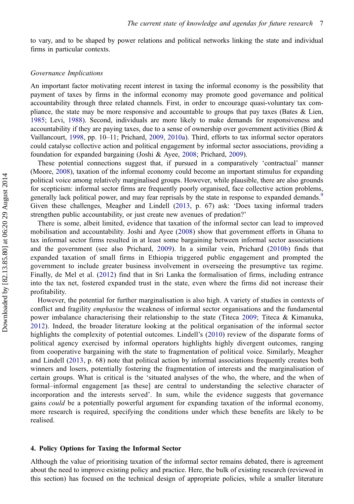to vary, and to be shaped by power relations and political networks linking the state and individual firms in particular contexts.

#### *Governance Implications*

An important factor motivating recent interest in taxing the informal economy is the possibility that payment of taxes by firms in the informal economy may promote good governance and political accountability through three related channels. First, in order to encourage quasi-voluntary tax compliance, the state may be more responsive and accountable to groups that pay taxes (Bates & Lien, [1985](#page-21-0); Levi, [1988\)](#page-23-0). Second, individuals are more likely to make demands for responsiveness and accountability if they are paying taxes, due to a sense of ownership over government activities (Bird  $\&$ Vaillancourt, [1998,](#page-21-0) pp. 10–11; Prichard, [2009,](#page-23-0) [2010a](#page-23-0)). Third, efforts to tax informal sector operators could catalyse collective action and political engagement by informal sector associations, providing a foundation for expanded bargaining (Joshi & Ayee, [2008;](#page-22-0) Prichard, [2009](#page-23-0)).

These potential connections suggest that, if pursued in a comparatively 'contractual' manner (Moore, [2008\)](#page-23-0), taxation of the informal economy could become an important stimulus for expanding political voice among relatively marginalised groups. However, while plausible, there are also grounds for scepticism: informal sector firms are frequently poorly organised, face collective action problems, generally lack political power, and may fear reprisals by the state in response to expanded demands.<sup>[9](#page-20-0)</sup> Given these challenges, Meagher and Lindell ([2013,](#page-23-0) p. 67) ask: 'Does taxing informal traders strengthen public accountability, or just create new avenues of predation?'

There is some, albeit limited, evidence that taxation of the informal sector can lead to improved mobilisation and accountability. Joshi and Ayee [\(2008\)](#page-22-0) show that government efforts in Ghana to tax informal sector firms resulted in at least some bargaining between informal sector associations and the government (see also Prichard, [2009\)](#page-23-0). In a similar vein, Prichard ([2010b](#page-24-0)) finds that expanded taxation of small firms in Ethiopia triggered public engagement and prompted the government to include greater business involvement in overseeing the presumptive tax regime. Finally, de Mel et al. [\(2012\)](#page-21-0) find that in Sri Lanka the formalisation of firms, including entrance into the tax net, fostered expanded trust in the state, even where the firms did not increase their profitability.

However, the potential for further marginalisation is also high. A variety of studies in contexts of conflict and fragility *emphasise* the weakness of informal sector organisations and the fundamental power imbalance characterising their relationship to the state (Titeca [2009;](#page-24-0) Titeca & Kimanuka, [2012\)](#page-24-0). Indeed, the broader literature looking at the political organisation of the informal sector highlights the complexity of potential outcomes. Lindell's ([2010](#page-23-0)) review of the disparate forms of political agency exercised by informal operators highlights highly divergent outcomes, ranging from cooperative bargaining with the state to fragmentation of political voice. Similarly, Meagher and Lindell [\(2013,](#page-23-0) p. 68) note that political action by informal associations frequently creates both winners and losers, potentially fostering the fragmentation of interests and the marginalisation of certain groups. What is critical is the 'situated analyses of the who, the where, and the when of formal-informal engagement [as these] are central to understanding the selective character of incorporation and the interests served'. In sum, while the evidence suggests that governance gains *could* be a potentially powerful argument for expanding taxation of the informal economy, more research is required, specifying the conditions under which these benefits are likely to be realised.

#### 4. Policy Options for Taxing the Informal Sector

Although the value of prioritising taxation of the informal sector remains debated, there is agreement about the need to improve existing policy and practice. Here, the bulk of existing research (reviewed in this section) has focused on the technical design of appropriate policies, while a smaller literature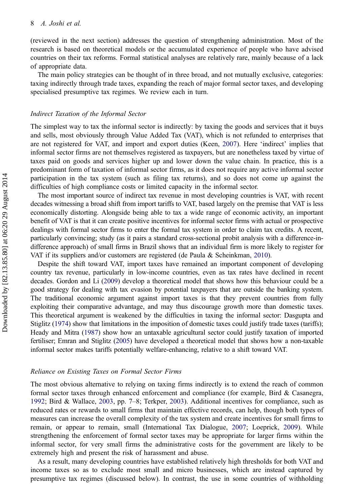(reviewed in the next section) addresses the question of strengthening administration. Most of the research is based on theoretical models or the accumulated experience of people who have advised countries on their tax reforms. Formal statistical analyses are relatively rare, mainly because of a lack of appropriate data.

The main policy strategies can be thought of in three broad, and not mutually exclusive, categories: taxing indirectly through trade taxes, expanding the reach of major formal sector taxes, and developing specialised presumptive tax regimes. We review each in turn.

#### *Indirect Taxation of the Informal Sector*

The simplest way to tax the informal sector is indirectly: by taxing the goods and services that it buys and sells, most obviously through Value Added Tax (VAT), which is not refunded to enterprises that are not registered for VAT, and import and export duties (Keen, [2007](#page-23-0)). Here 'indirect' implies that informal sector firms are not themselves registered as taxpayers, but are nonetheless taxed by virtue of taxes paid on goods and services higher up and lower down the value chain. In practice, this is a predominant form of taxation of informal sector firms, as it does not require any active informal sector participation in the tax system (such as filing tax returns), and so does not come up against the difficulties of high compliance costs or limited capacity in the informal sector.

The most important source of indirect tax revenue in most developing countries is VAT, with recent decades witnessing a broad shift from import tariffs to VAT, based largely on the premise that VAT is less economically distorting. Alongside being able to tax a wide range of economic activity, an important benefit of VAT is that it can create positive incentives for informal sector firms with actual or prospective dealings with formal sector firms to enter the formal tax system in order to claim tax credits. A recent, particularly convincing; study (as it pairs a standard cross-sectional probit analysis with a difference-indifference approach) of small firms in Brazil shows that an individual firm is more likely to register for VAT if its suppliers and/or customers are registered (de Paula & Scheinkman, [2010](#page-21-0)).

Despite the shift toward VAT, import taxes have remained an important component of developing country tax revenue, particularly in low-income countries, even as tax rates have declined in recent decades. Gordon and Li ([2009](#page-22-0)) develop a theoretical model that shows how this behaviour could be a good strategy for dealing with tax evasion by potential taxpayers that are outside the banking system. The traditional economic argument against import taxes is that they prevent countries from fully exploiting their comparative advantage, and may thus discourage growth more than domestic taxes. This theoretical argument is weakened by the difficulties in taxing the informal sector: Dasgupta and Stiglitz ([1974](#page-21-0)) show that limitations in the imposition of domestic taxes could justify trade taxes (tariffs); Heady and Mitra [\(1987\)](#page-22-0) show how an untaxable agricultural sector could justify taxation of imported fertiliser; Emran and Stiglitz [\(2005\)](#page-21-0) have developed a theoretical model that shows how a non-taxable informal sector makes tariffs potentially welfare-enhancing, relative to a shift toward VAT.

#### *Reliance on Existing Taxes on Formal Sector Firms*

The most obvious alternative to relying on taxing firms indirectly is to extend the reach of common formal sector taxes through enhanced enforcement and compliance (for example, Bird & Casanegra, [1992](#page-21-0); Bird & Wallace, [2003,](#page-21-0) pp. 7–8; Terkper, [2003\)](#page-24-0). Additional incentives for compliance, such as reduced rates or rewards to small firms that maintain effective records, can help, though both types of measures can increase the overall complexity of the tax system and create incentives for small firms to remain, or appear to remain, small (International Tax Dialogue, [2007](#page-22-0); Loeprick, [2009](#page-23-0)). While strengthening the enforcement of formal sector taxes may be appropriate for larger firms within the informal sector, for very small firms the administrative costs for the government are likely to be extremely high and present the risk of harassment and abuse.

As a result, many developing countries have established relatively high thresholds for both VAT and income taxes so as to exclude most small and micro businesses, which are instead captured by presumptive tax regimes (discussed below). In contrast, the use in some countries of withholding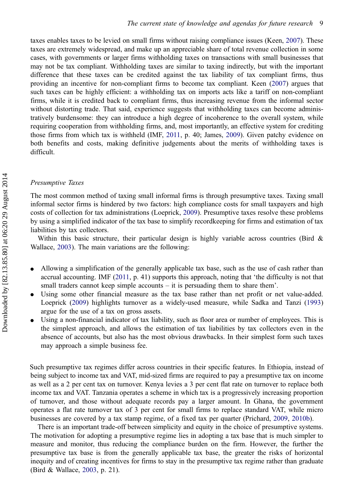<span id="page-11-0"></span>taxes enables taxes to be levied on small firms without raising compliance issues (Keen, [2007\)](#page-23-0). These taxes are extremely widespread, and make up an appreciable share of total revenue collection in some cases, with governments or larger firms withholding taxes on transactions with small businesses that may not be tax compliant. Withholding taxes are similar to taxing indirectly, but with the important difference that these taxes can be credited against the tax liability of tax compliant firms, thus providing an incentive for non-compliant firms to become tax compliant. Keen ([2007\)](#page-23-0) argues that such taxes can be highly efficient: a withholding tax on imports acts like a tariff on non-compliant firms, while it is credited back to compliant firms, thus increasing revenue from the informal sector without distorting trade. That said, experience suggests that withholding taxes can become administratively burdensome: they can introduce a high degree of incoherence to the overall system, while requiring cooperation from withholding firms, and, most importantly, an effective system for crediting those firms from which tax is withheld (IMF, [2011](#page-22-0), p. 40; James, [2009\)](#page-22-0). Given patchy evidence on both benefits and costs, making definitive judgements about the merits of withholding taxes is difficult.

#### *Presumptive Taxes*

The most common method of taxing small informal firms is through presumptive taxes. Taxing small informal sector firms is hindered by two factors: high compliance costs for small taxpayers and high costs of collection for tax administrations (Loeprick, [2009](#page-23-0)). Presumptive taxes resolve these problems by using a simplified indicator of the tax base to simplify recordkeeping for firms and estimation of tax liabilities by tax collectors.

Within this basic structure, their particular design is highly variable across countries (Bird  $\&$ Wallace, [2003\)](#page-21-0). The main variations are the following:

- Allowing a simplification of the generally applicable tax base, such as the use of cash rather than accrual accounting. IMF ([2011](#page-22-0), p. 41) supports this approach, noting that 'the difficulty is not that small traders cannot keep simple accounts – it is persuading them to share them'.
- Using some other financial measure as the tax base rather than net profit or net value-added. Loeprick [\(2009](#page-23-0)) highlights turnover as a widely-used measure, while Sadka and Tanzi ([1993](#page-24-0)) argue for the use of a tax on gross assets.
- Using a non-financial indicator of tax liability, such as floor area or number of employees. This is the simplest approach, and allows the estimation of tax liabilities by tax collectors even in the absence of accounts, but also has the most obvious drawbacks. In their simplest form such taxes may approach a simple business fee.

Such presumptive tax regimes differ across countries in their specific features. In Ethiopia, instead of being subject to income tax and VAT, mid-sized firms are required to pay a presumptive tax on income as well as a 2 per cent tax on turnover. Kenya levies a 3 per cent flat rate on turnover to replace both income tax and VAT. Tanzania operates a scheme in which tax is a progressively increasing proportion of turnover, and those without adequate records pay a larger amount. In Ghana, the government operates a flat rate turnover tax of 3 per cent for small firms to replace standard VAT, while micro businesses are covered by a tax stamp regime, of a fixed tax per quarter (Prichard, [2009](#page-23-0), [2010b\)](#page-24-0).

There is an important trade-off between simplicity and equity in the choice of presumptive systems. The motivation for adopting a presumptive regime lies in adopting a tax base that is much simpler to measure and monitor, thus reducing the compliance burden on the firm. However, the further the presumptive tax base is from the generally applicable tax base, the greater the risks of horizontal inequity and of creating incentives for firms to stay in the presumptive tax regime rather than graduate (Bird & Wallace, [2003,](#page-21-0) p. 21).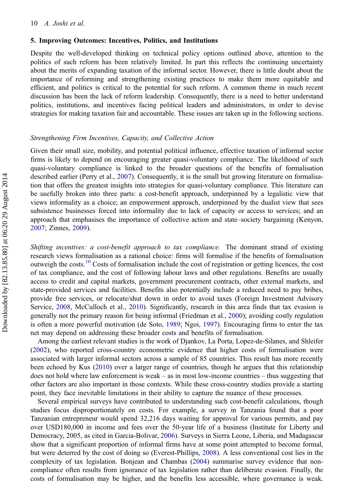#### 5. Improving Outcomes: Incentives, Politics, and Institutions

Despite the well-developed thinking on technical policy options outlined above, attention to the politics of such reform has been relatively limited. In part this reflects the continuing uncertainty about the merits of expanding taxation of the informal sector. However, there is little doubt about the importance of reforming and strengthening existing practices to make them more equitable and efficient, and politics is critical to the potential for such reform. A common theme in much recent discussion has been the lack of reform leadership. Consequently, there is a need to better understand politics, institutions, and incentives facing political leaders and administrators, in order to devise strategies for making taxation fair and accountable. These issues are taken up in the following sections.

#### *Strengthening Firm Incentives, Capacity, and Collective Action*

Given their small size, mobility, and potential political influence, effective taxation of informal sector firms is likely to depend on encouraging greater quasi-voluntary compliance. The likelihood of such quasi-voluntary compliance is linked to the broader questions of the benefits of formalisation described earlier (Perry et al., [2007](#page-23-0)). Consequently, it is the small but growing literature on formalisation that offers the greatest insights into strategies for quasi-voluntary compliance. This literature can be usefully broken into three parts: a cost-benefit approach, underpinned by a legalistic view that views informality as a choice; an empowerment approach, underpinned by the dualist view that sees subsistence businesses forced into informality due to lack of capacity or access to services; and an approach that emphasises the importance of collective action and state–society bargaining (Kenyon, [2007](#page-23-0); Zinnes, [2009](#page-24-0)).

*Shifting incentives: a cost-benefit approach to tax compliance.* The dominant strand of existing research views formalisation as a rational choice: firms will formalise if the benefits of formalisation outweigh the costs.<sup>[10](#page-20-0)</sup> Costs of formalisation include the cost of registration or getting licences, the cost of tax compliance, and the cost of following labour laws and other regulations. Benefits are usually access to credit and capital markets, government procurement contracts, other external markets, and state-provided services and facilities. Benefits also potentially include a reduced need to pay bribes, provide free services, or relocate/shut down in order to avoid taxes (Foreign Investment Advisory Service, [2008](#page-22-0), McCulloch et al., [2010\)](#page-23-0). Significantly, research in this area finds that tax evasion is generally not the primary reason for being informal (Friedman et al., [2000](#page-22-0)); avoiding costly regulation is often a more powerful motivation (de Soto, [1989](#page-21-0); Ngoi, [1997\)](#page-23-0). Encouraging firms to enter the tax net may depend on addressing these broader costs and benefits of formalisation.

Among the earliest relevant studies is the work of Djankov, La Porta, Lopez-de-Silanes, and Shleifer ([2002\)](#page-21-0), who reported cross-country econometric evidence that higher costs of formalisation were associated with larger informal sectors across a sample of 85 countries. This result has more recently been echoed by Kus ([2010\)](#page-23-0) over a larger range of countries, though he argues that this relationship does not hold where law enforcement is weak – as in most low-income countries – thus suggesting that other factors are also important in those contexts. While these cross-country studies provide a starting point, they face inevitable limitations in their ability to capture the nuance of these processes.

Several empirical surveys have contributed to understanding such cost-benefit calculations, though studies focus disproportionately on costs. For example, a survey in Tanzania found that a poor Tanzanian entrepreneur would spend 32,216 days waiting for approval for various permits, and pay over USD180,000 in income and fees over the 50-year life of a business (Institute for Liberty and Democracy, 2005, as cited in Garcia-Bolivar, [2006\)](#page-22-0). Surveys in Sierra Leone, Liberia, and Madagascar show that a significant proportion of informal firms have at some point attempted to become formal, but were deterred by the cost of doing so (Everest-Phillips, [2008](#page-21-0)). A less conventional cost lies in the complexity of tax legislation. Bonjean and Chambas ([2004\)](#page-21-0) summarise survey evidence that noncompliance often results from ignorance of tax legislation rather than deliberate evasion. Finally, the costs of formalisation may be higher, and the benefits less accessible, where governance is weak.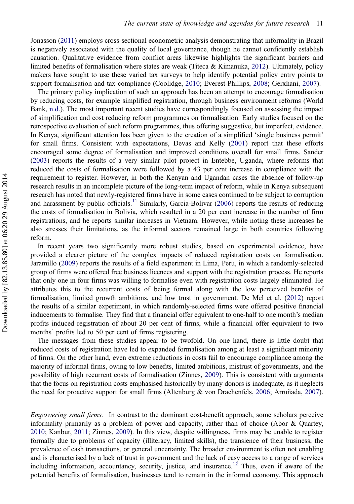Jonasson [\(2011\)](#page-22-0) employs cross-sectional econometric analysis demonstrating that informality in Brazil is negatively associated with the quality of local governance, though he cannot confidently establish causation. Qualitative evidence from conflict areas likewise highlights the significant barriers and limited benefits of formalisation where states are weak (Titeca & Kimanuka, [2012\)](#page-24-0). Ultimately, policy makers have sought to use these varied tax surveys to help identify potential policy entry points to support formalisation and tax compliance (Coolidge, [2010;](#page-21-0) Everest-Phillips, [2008](#page-21-0); Gerxhani, [2007\)](#page-22-0).

The primary policy implication of such an approach has been an attempt to encourage formalisation by reducing costs, for example simplified registration, through business environment reforms (World Bank, [n.d.](#page-24-0)). The most important recent studies have correspondingly focused on assessing the impact of simplification and cost reducing reform programmes on formalisation. Early studies focused on the retrospective evaluation of such reform programmes, thus offering suggestive, but imperfect, evidence. In Kenya, significant attention has been given to the creation of a simplified 'single business permit' for small firms. Consistent with expectations, Devas and Kelly [\(2001](#page-21-0)) report that these efforts encouraged some degree of formalisation and improved conditions overall for small firms. Sander ([2003\)](#page-24-0) reports the results of a very similar pilot project in Entebbe, Uganda, where reforms that reduced the costs of formalisation were followed by a 43 per cent increase in compliance with the requirement to register. However, in both the Kenyan and Ugandan cases the absence of follow-up research results in an incomplete picture of the long-term impact of reform, while in Kenya subsequent research has noted that newly-registered firms have in some cases continued to be subject to corruption and harassment by public officials.<sup>[11](#page-20-0)</sup> Similarly, Garcia-Bolivar [\(2006](#page-22-0)) reports the results of reducing the costs of formalisation in Bolivia, which resulted in a 20 per cent increase in the number of firm registrations, and he reports similar increases in Vietnam. However, while noting these increases he also stresses their limitations, as the informal sectors remained large in both countries following reform.

In recent years two significantly more robust studies, based on experimental evidence, have provided a clearer picture of the complex impacts of reduced registration costs on formalisation. Jaramillo [\(2009](#page-22-0)) reports the results of a field experiment in Lima, Peru, in which a randomly-selected group of firms were offered free business licences and support with the registration process. He reports that only one in four firms was willing to formalise even with registration costs largely eliminated. He attributes this to the recurrent costs of being formal along with the low perceived benefits of formalisation, limited growth ambitions, and low trust in government. De Mel et al. ([2012\)](#page-21-0) report the results of a similar experiment, in which randomly-selected firms were offered positive financial inducements to formalise. They find that a financial offer equivalent to one-half to one month's median profits induced registration of about 20 per cent of firms, while a financial offer equivalent to two months' profits led to 50 per cent of firms registering.

The messages from these studies appear to be twofold. On one hand, there is little doubt that reduced costs of registration have led to expanded formalisation among at least a significant minority of firms. On the other hand, even extreme reductions in costs fail to encourage compliance among the majority of informal firms, owing to low benefits, limited ambitions, mistrust of governments, and the possibility of high recurrent costs of formalisation (Zinnes, [2009\)](#page-24-0). This is consistent with arguments that the focus on registration costs emphasised historically by many donors is inadequate, as it neglects the need for proactive support for small firms (Altenburg & von Drachenfels, [2006](#page-21-0); Arruñada, [2007\)](#page-21-0).

*Empowering small firms.* In contrast to the dominant cost-benefit approach, some scholars perceive informality primarily as a problem of power and capacity, rather than of choice (Abor & Quartey, [2010](#page-20-0); Kanbur, [2011;](#page-22-0) Zinnes, [2009](#page-24-0)). In this view, despite willingness, firms may be unable to register formally due to problems of capacity (illiteracy, limited skills), the transience of their business, the prevalence of cash transactions, or general uncertainty. The broader environment is often not enabling and is characterised by a lack of trust in government and the lack of easy access to a range of services including information, accountancy, security, justice, and insurance.<sup>[12](#page-20-0)</sup> Thus, even if aware of the potential benefits of formalisation, businesses tend to remain in the informal economy. This approach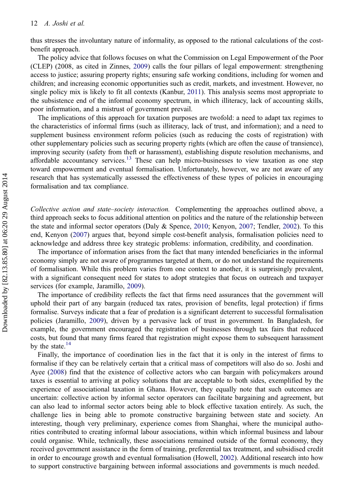thus stresses the involuntary nature of informality, as opposed to the rational calculations of the costbenefit approach.

The policy advice that follows focuses on what the Commission on Legal Empowerment of the Poor (CLEP) (2008, as cited in Zinnes, [2009\)](#page-24-0) calls the four pillars of legal empowerment: strengthening access to justice; assuring property rights; ensuring safe working conditions, including for women and children; and increasing economic opportunities such as credit, markets, and investment. However, no single policy mix is likely to fit all contexts (Kanbur, [2011\)](#page-22-0). This analysis seems most appropriate to the subsistence end of the informal economy spectrum, in which illiteracy, lack of accounting skills, poor information, and a mistrust of government prevail.

The implications of this approach for taxation purposes are twofold: a need to adapt tax regimes to the characteristics of informal firms (such as illiteracy, lack of trust, and information); and a need to supplement business environment reform policies (such as reducing the costs of registration) with other supplementary policies such as securing property rights (which are often the cause of transience), improving security (safety from theft or harassment), establishing dispute resolution mechanisms, and affordable accountancy services.<sup>[13](#page-20-0)</sup> These can help micro-businesses to view taxation as one step toward empowerment and eventual formalisation. Unfortunately, however, we are not aware of any research that has systematically assessed the effectiveness of these types of policies in encouraging formalisation and tax compliance.

*Collective action and state*–*society interaction.* Complementing the approaches outlined above, a third approach seeks to focus additional attention on politics and the nature of the relationship between the state and informal sector operators (Daly & Spence, [2010](#page-21-0); Kenyon, [2007](#page-23-0); Tendler, [2002](#page-24-0)). To this end, Kenyon [\(2007](#page-23-0)) argues that, beyond simple cost-benefit analysis, formalisation policies need to acknowledge and address three key strategic problems: information, credibility, and coordination.

The importance of information arises from the fact that many intended beneficiaries in the informal economy simply are not aware of programmes targeted at them, or do not understand the requirements of formalisation. While this problem varies from one context to another, it is surprisingly prevalent, with a significant consequent need for states to adopt strategies that focus on outreach and taxpayer services (for example, Jaramillo, [2009](#page-22-0)).

The importance of credibility reflects the fact that firms need assurances that the government will uphold their part of any bargain (reduced tax rates, provision of benefits, legal protection) if firms formalise. Surveys indicate that a fear of predation is a significant deterrent to successful formalisation policies (Jaramillo, [2009\)](#page-22-0), driven by a pervasive lack of trust in government. In Bangladesh, for example, the government encouraged the registration of businesses through tax fairs that reduced costs, but found that many firms feared that registration might expose them to subsequent harassment by the state.<sup>[14](#page-20-0)</sup>

Finally, the importance of coordination lies in the fact that it is only in the interest of firms to formalise if they can be relatively certain that a critical mass of competitors will also do so. Joshi and Ayee ([2008\)](#page-22-0) find that the existence of collective actors who can bargain with policymakers around taxes is essential to arriving at policy solutions that are acceptable to both sides, exemplified by the experience of associational taxation in Ghana. However, they equally note that such outcomes are uncertain: collective action by informal sector operators can facilitate bargaining and agreement, but can also lead to informal sector actors being able to block effective taxation entirely. As such, the challenge lies in being able to promote constructive bargaining between state and society. An interesting, though very preliminary, experience comes from Shanghai, where the municipal authorities contributed to creating informal labour associations, within which informal business and labour could organise. While, technically, these associations remained outside of the formal economy, they received government assistance in the form of training, preferential tax treatment, and subsidised credit in order to encourage growth and eventual formalisation (Howell, [2002\)](#page-22-0). Additional research into how to support constructive bargaining between informal associations and governments is much needed.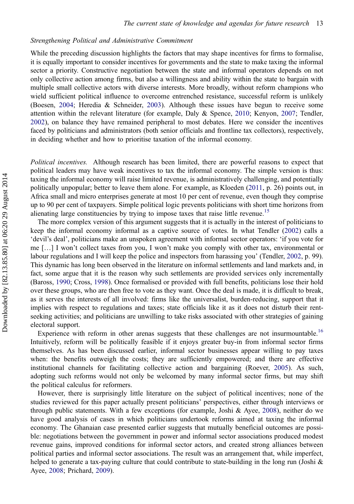#### <span id="page-15-0"></span>*Strengthening Political and Administrative Commitment*

While the preceding discussion highlights the factors that may shape incentives for firms to formalise, it is equally important to consider incentives for governments and the state to make taxing the informal sector a priority. Constructive negotiation between the state and informal operators depends on not only collective action among firms, but also a willingness and ability within the state to bargain with multiple small collective actors with diverse interests. More broadly, without reform champions who wield sufficient political influence to overcome entrenched resistance, successful reform is unlikely (Boesen, [2004](#page-21-0); Heredia & Schneider, [2003\)](#page-22-0). Although these issues have begun to receive some attention within the relevant literature (for example, Daly & Spence, [2010;](#page-21-0) Kenyon, [2007;](#page-23-0) Tendler, [2002](#page-24-0)), on balance they have remained peripheral to most debates. Here we consider the incentives faced by politicians and administrators (both senior officials and frontline tax collectors), respectively, in deciding whether and how to prioritise taxation of the informal economy.

*Political incentives.* Although research has been limited, there are powerful reasons to expect that political leaders may have weak incentives to tax the informal economy. The simple version is thus: taxing the informal economy will raise limited revenue, is administratively challenging, and potentially politically unpopular; better to leave them alone. For example, as Kloeden [\(2011](#page-23-0), p. 26) points out, in Africa small and micro enterprises generate at most 10 per cent of revenue, even though they comprise up to 90 per cent of taxpayers. Simple political logic prevents politicians with short time horizons from alienating large constituencies by trying to impose taxes that raise little revenue.<sup>[15](#page-20-0)</sup>

The more complex version of this argument suggests that it is actually in the interest of politicians to keep the informal economy informal as a captive source of votes. In what Tendler ([2002\)](#page-24-0) calls a 'devil's deal', politicians make an unspoken agreement with informal sector operators: 'if you vote for me […] I won't collect taxes from you, I won't make you comply with other tax, environmental or labour regulations and I will keep the police and inspectors from harassing you' (Tendler, [2002,](#page-24-0) p. 99). This dynamic has long been observed in the literature on informal settlements and land markets and, in fact, some argue that it is the reason why such settlements are provided services only incrementally (Baross, [1990;](#page-21-0) Cross, [1998\)](#page-21-0). Once formalised or provided with full benefits, politicians lose their hold over these groups, who are then free to vote as they want. Once the deal is made, it is difficult to break, as it serves the interests of all involved: firms like the universalist, burden-reducing, support that it implies with respect to regulations and taxes; state officials like it as it does not disturb their rentseeking activities; and politicians are unwilling to take risks associated with other strategies of gaining electoral support.

Experience with reform in other arenas suggests that these challenges are not insurmountable.<sup>[16](#page-20-0)</sup> Intuitively, reform will be politically feasible if it enjoys greater buy-in from informal sector firms themselves. As has been discussed earlier, informal sector businesses appear willing to pay taxes when: the benefits outweigh the costs; they are sufficiently empowered; and there are effective institutional channels for facilitating collective action and bargaining (Roever, [2005\)](#page-24-0). As such, adopting such reforms would not only be welcomed by many informal sector firms, but may shift the political calculus for reformers.

However, there is surprisingly little literature on the subject of political incentives; none of the studies reviewed for this paper actually present politicians' perspectives, either through interviews or through public statements. With a few exceptions (for example, Joshi & Ayee, [2008\)](#page-22-0), neither do we have good analysis of cases in which politicians undertook reforms aimed at taxing the informal economy. The Ghanaian case presented earlier suggests that mutually beneficial outcomes are possible: negotiations between the government in power and informal sector associations produced modest revenue gains, improved conditions for informal sector actors, and created strong alliances between political parties and informal sector associations. The result was an arrangement that, while imperfect, helped to generate a tax-paying culture that could contribute to state-building in the long run (Joshi & Ayee, [2008](#page-22-0); Prichard, [2009](#page-23-0)).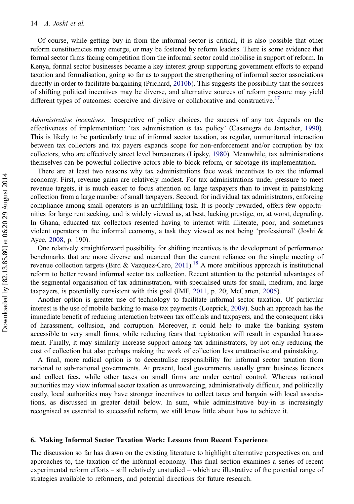Of course, while getting buy-in from the informal sector is critical, it is also possible that other reform constituencies may emerge, or may be fostered by reform leaders. There is some evidence that formal sector firms facing competition from the informal sector could mobilise in support of reform. In Kenya, formal sector businesses became a key interest group supporting government efforts to expand taxation and formalisation, going so far as to support the strengthening of informal sector associations directly in order to facilitate bargaining (Prichard, [2010b\)](#page-24-0). This suggests the possibility that the sources of shifting political incentives may be diverse, and alternative sources of reform pressure may yield different types of outcomes: coercive and divisive or collaborative and constructive.<sup>[17](#page-20-0)</sup>

*Administrative incentives.* Irrespective of policy choices, the success of any tax depends on the effectiveness of implementation: 'tax administration *is* tax policy' (Casanegra de Jantscher, [1990\)](#page-21-0). This is likely to be particularly true of informal sector taxation, as regular, unmonitored interaction between tax collectors and tax payers expands scope for non-enforcement and/or corruption by tax collectors, who are effectively street level bureaucrats (Lipsky, [1980](#page-23-0)). Meanwhile, tax administrations themselves can be powerful collective actors able to block reform, or sabotage its implementation.

There are at least two reasons why tax administrations face weak incentives to tax the informal economy. First, revenue gains are relatively modest. For tax administrations under pressure to meet revenue targets, it is much easier to focus attention on large taxpayers than to invest in painstaking collection from a large number of small taxpayers. Second, for individual tax administrators, enforcing compliance among small operators is an unfulfilling task. It is poorly rewarded, offers few opportunities for large rent seeking, and is widely viewed as, at best, lacking prestige, or, at worst, degrading. In Ghana, educated tax collectors resented having to interact with illiterate, poor, and sometimes violent operators in the informal economy, a task they viewed as not being 'professional' (Joshi & Ayee, [2008](#page-22-0), p. 190).

One relatively straightforward possibility for shifting incentives is the development of performance benchmarks that are more diverse and nuanced than the current reliance on the simple meeting of revenue collection targets (Bird & Vazquez-Caro, [2011](#page-21-0)).<sup>[18](#page-20-0)</sup> A more ambitious approach is institutional reform to better reward informal sector tax collection. Recent attention to the potential advantages of the segmental organisation of tax administration, with specialised units for small, medium, and large taxpayers, is potentially consistent with this goal (IMF, [2011,](#page-22-0) p. 20; McCarten, [2005](#page-23-0)).

Another option is greater use of technology to facilitate informal sector taxation. Of particular interest is the use of mobile banking to make tax payments (Loeprick, [2009\)](#page-23-0). Such an approach has the immediate benefit of reducing interaction between tax officials and taxpayers, and the consequent risks of harassment, collusion, and corruption. Moreover, it could help to make the banking system accessible to very small firms, while reducing fears that registration will result in expanded harassment. Finally, it may similarly increase support among tax administrators, by not only reducing the cost of collection but also perhaps making the work of collection less unattractive and painstaking.

A final, more radical option is to decentralise responsibility for informal sector taxation from national to sub-national governments. At present, local governments usually grant business licences and collect fees, while other taxes on small firms are under central control. Whereas national authorities may view informal sector taxation as unrewarding, administratively difficult, and politically costly, local authorities may have stronger incentives to collect taxes and bargain with local associations, as discussed in greater detail below. In sum, while administrative buy-in is increasingly recognised as essential to successful reform, we still know little about how to achieve it.

#### 6. Making Informal Sector Taxation Work: Lessons from Recent Experience

The discussion so far has drawn on the existing literature to highlight alternative perspectives on, and approaches to, the taxation of the informal economy. This final section examines a series of recent experimental reform efforts – still relatively unstudied – which are illustrative of the potential range of strategies available to reformers, and potential directions for future research.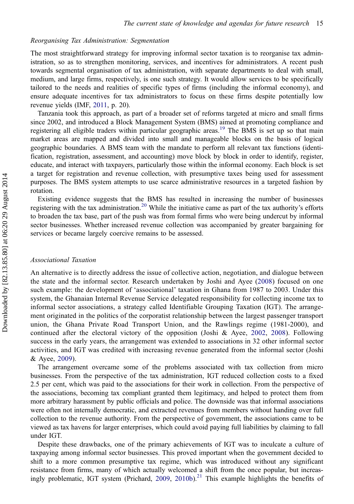#### *Reorganising Tax Administration: Segmentation*

The most straightforward strategy for improving informal sector taxation is to reorganise tax administration, so as to strengthen monitoring, services, and incentives for administrators. A recent push towards segmental organisation of tax administration, with separate departments to deal with small, medium, and large firms, respectively, is one such strategy. It would allow services to be specifically tailored to the needs and realities of specific types of firms (including the informal economy), and ensure adequate incentives for tax administrators to focus on these firms despite potentially low revenue yields (IMF, [2011](#page-22-0), p. 20).

Tanzania took this approach, as part of a broader set of reforms targeted at micro and small firms since 2002, and introduced a Block Management System (BMS) aimed at promoting compliance and registering all eligible traders within particular geographic areas.<sup>[19](#page-20-0)</sup> The BMS is set up so that main market areas are mapped and divided into small and manageable blocks on the basis of logical geographic boundaries. A BMS team with the mandate to perform all relevant tax functions (identification, registration, assessment, and accounting) move block by block in order to identify, register, educate, and interact with taxpayers, particularly those within the informal economy. Each block is set a target for registration and revenue collection, with presumptive taxes being used for assessment purposes. The BMS system attempts to use scarce administrative resources in a targeted fashion by rotation.

Existing evidence suggests that the BMS has resulted in increasing the number of businesses registering with the tax administration.<sup>[20](#page-20-0)</sup> While the initiative came as part of the tax authority's efforts to broaden the tax base, part of the push was from formal firms who were being undercut by informal sector businesses. Whether increased revenue collection was accompanied by greater bargaining for services or became largely coercive remains to be assessed.

#### *Associational Taxation*

An alternative is to directly address the issue of collective action, negotiation, and dialogue between the state and the informal sector. Research undertaken by Joshi and Ayee [\(2008\)](#page-22-0) focused on one such example: the development of 'associational' taxation in Ghana from 1987 to 2003. Under this system, the Ghanaian Internal Revenue Service delegated responsibility for collecting income tax to informal sector associations, a strategy called Identifiable Grouping Taxation (IGT). The arrangement originated in the politics of the corporatist relationship between the largest passenger transport union, the Ghana Private Road Transport Union, and the Rawlings regime (1981-2000), and continued after the electoral victory of the opposition (Joshi & Ayee, [2002](#page-22-0), [2008](#page-22-0)). Following success in the early years, the arrangement was extended to associations in 32 other informal sector activities, and IGT was credited with increasing revenue generated from the informal sector (Joshi & Ayee, [2009\)](#page-22-0).

The arrangement overcame some of the problems associated with tax collection from micro businesses. From the perspective of the tax administration, IGT reduced collection costs to a fixed 2.5 per cent, which was paid to the associations for their work in collection. From the perspective of the associations, becoming tax compliant granted them legitimacy, and helped to protect them from more arbitrary harassment by public officials and police. The downside was that informal associations were often not internally democratic, and extracted revenues from members without handing over full collection to the revenue authority. From the perspective of government, the associations came to be viewed as tax havens for larger enterprises, which could avoid paying full liabilities by claiming to fall under IGT.

Despite these drawbacks, one of the primary achievements of IGT was to inculcate a culture of taxpaying among informal sector businesses. This proved important when the government decided to shift to a more common presumptive tax regime, which was introduced without any significant resistance from firms, many of which actually welcomed a shift from the once popular, but increas-ingly problematic, IGT system (Prichard, [2009,](#page-23-0) [2010b\)](#page-24-0).<sup>[21](#page-20-0)</sup> This example highlights the benefits of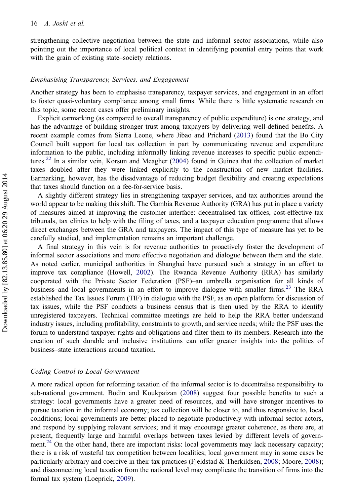strengthening collective negotiation between the state and informal sector associations, while also pointing out the importance of local political context in identifying potential entry points that work with the grain of existing state–society relations.

#### *Emphasising Transparency, Services, and Engagement*

Another strategy has been to emphasise transparency, taxpayer services, and engagement in an effort to foster quasi-voluntary compliance among small firms. While there is little systematic research on this topic, some recent cases offer preliminary insights.

Explicit earmarking (as compared to overall transparency of public expenditure) is one strategy, and has the advantage of building stronger trust among taxpayers by delivering well-defined benefits. A recent example comes from Sierra Leone, where Jibao and Prichard ([2013\)](#page-22-0) found that the Bo City Council built support for local tax collection in part by communicating revenue and expenditure information to the public, including informally linking revenue increases to specific public expendi-tures.<sup>[22](#page-20-0)</sup> In a similar vein, Korsun and Meagher ([2004\)](#page-23-0) found in Guinea that the collection of market taxes doubled after they were linked explicitly to the construction of new market facilities. Earmarking, however, has the disadvantage of reducing budget flexibility and creating expectations that taxes should function on a fee-for-service basis.

A slightly different strategy lies in strengthening taxpayer services, and tax authorities around the world appear to be making this shift. The Gambia Revenue Authority (GRA) has put in place a variety of measures aimed at improving the customer interface: decentralised tax offices, cost-effective tax tribunals, tax clinics to help with the filing of taxes, and a taxpayer education programme that allows direct exchanges between the GRA and taxpayers. The impact of this type of measure has yet to be carefully studied, and implementation remains an important challenge.

A final strategy in this vein is for revenue authorities to proactively foster the development of informal sector associations and more effective negotiation and dialogue between them and the state. As noted earlier, municipal authorities in Shanghai have pursued such a strategy in an effort to improve tax compliance (Howell, [2002](#page-22-0)). The Rwanda Revenue Authority (RRA) has similarly cooperated with the Private Sector Federation (PSF)–an umbrella organisation for all kinds of business–and local governments in an effort to improve dialogue with smaller firms.<sup>[23](#page-20-0)</sup> The RRA established the Tax Issues Forum (TIF) in dialogue with the PSF, as an open platform for discussion of tax issues, while the PSF conducts a business census that is then used by the RRA to identify unregistered taxpayers. Technical committee meetings are held to help the RRA better understand industry issues, including profitability, constraints to growth, and service needs; while the PSF uses the forum to understand taxpayer rights and obligations and filter them to its members. Research into the creation of such durable and inclusive institutions can offer greater insights into the politics of business–state interactions around taxation.

#### *Ceding Control to Local Government*

A more radical option for reforming taxation of the informal sector is to decentralise responsibility to sub-national government. Bodin and Koukpaizan ([2008\)](#page-21-0) suggest four possible benefits to such a strategy: local governments have a greater need of resources, and will have stronger incentives to pursue taxation in the informal economy; tax collection will be closer to, and thus responsive to, local conditions; local governments are better placed to negotiate productively with informal sector actors, and respond by supplying relevant services; and it may encourage greater coherence, as there are, at present, frequently large and harmful overlaps between taxes levied by different levels of govern-ment.<sup>[24](#page-20-0)</sup> On the other hand, there are important risks: local governments may lack necessary capacity; there is a risk of wasteful tax competition between localities; local government may in some cases be particularly arbitrary and coercive in their tax practices (Fjeldstad & Therkildsen, [2008;](#page-22-0) Moore, [2008\)](#page-23-0); and disconnecting local taxation from the national level may complicate the transition of firms into the formal tax system (Loeprick, [2009\)](#page-23-0).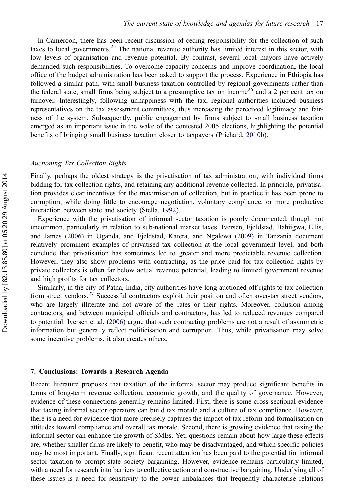<span id="page-19-0"></span>In Cameroon, there has been recent discussion of ceding responsibility for the collection of such taxes to local governments.<sup>[25](#page-20-0)</sup> The national revenue authority has limited interest in this sector, with low levels of organisation and revenue potential. By contrast, several local mayors have actively demanded such responsibilities. To overcome capacity concerns and improve coordination, the local office of the budget administration has been asked to support the process. Experience in Ethiopia has followed a similar path, with small business taxation controlled by regional governments rather than the federal state, small firms being subject to a presumptive tax on income<sup>[26](#page-20-0)</sup> and a 2 per cent tax on turnover. Interestingly, following unhappiness with the tax, regional authorities included business representatives on the tax assessment committees, thus increasing the perceived legitimacy and fairness of the system. Subsequently, public engagement by firms subject to small business taxation emerged as an important issue in the wake of the contested 2005 elections, highlighting the potential benefits of bringing small business taxation closer to taxpayers (Prichard, [2010b](#page-24-0)).

#### *Auctioning Tax Collection Rights*

Finally, perhaps the oldest strategy is the privatisation of tax administration, with individual firms bidding for tax collection rights, and retaining any additional revenue collected. In principle, privatisation provides clear incentives for the maximisation of collection, but in practice it has been prone to corruption, while doing little to encourage negotiation, voluntary compliance, or more productive interaction between state and society (Stella, [1992\)](#page-24-0).

Experience with the privatisation of informal sector taxation is poorly documented, though not uncommon, particularly in relation to sub-national market taxes. Iversen, Fjeldstad, Bahiigwa, Ellis, and James ([2006\)](#page-22-0) in Uganda, and Fjeldstad, Katera, and Ngalewa ([2009\)](#page-22-0) in Tanzania document relatively prominent examples of privatised tax collection at the local government level, and both conclude that privatisation has sometimes led to greater and more predictable revenue collection. However, they also show problems with contracting, as the price paid for tax collection rights by private collectors is often far below actual revenue potential, leading to limited government revenue and high profits for tax collectors.

Similarly, in the city of Patna, India, city authorities have long auctioned off rights to tax collection from street vendors.<sup>[27](#page-20-0)</sup> Successful contractors exploit their position and often over-tax street vendors, who are largely illiterate and not aware of the rates or their rights. Moreover, collusion among contractors, and between municipal officials and contractors, has led to reduced revenues compared to potential. Iversen et al. ([2006\)](#page-22-0) argue that such contracting problems are not a result of asymmetric information but generally reflect politicisation and corruption. Thus, while privatisation may solve some incentive problems, it also creates others.

#### 7. Conclusions: Towards a Research Agenda

Recent literature proposes that taxation of the informal sector may produce significant benefits in terms of long-term revenue collection, economic growth, and the quality of governance. However, evidence of these connections generally remains limited. First, there is some cross-sectional evidence that taxing informal sector operators can build tax morale and a culture of tax compliance. However, there is a need for evidence that more precisely captures the impact of tax reform and formalisation on attitudes toward compliance and overall tax morale. Second, there is growing evidence that taxing the informal sector can enhance the growth of SMEs. Yet, questions remain about how large these effects are, whether smaller firms are likely to benefit, who may be disadvantaged, and which specific policies may be most important. Finally, significant recent attention has been paid to the potential for informal sector taxation to prompt state–society bargaining. However, evidence remains particularly limited, with a need for research into barriers to collective action and constructive bargaining. Underlying all of these issues is a need for sensitivity to the power imbalances that frequently characterise relations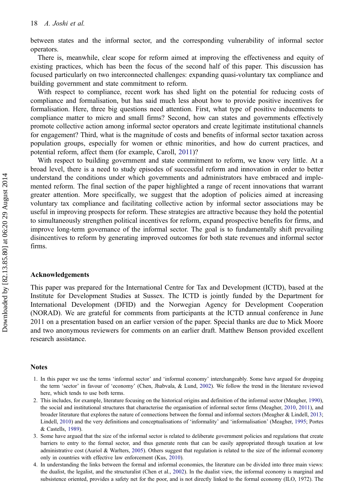<span id="page-20-0"></span>between states and the informal sector, and the corresponding vulnerability of informal sector operators.

There is, meanwhile, clear scope for reform aimed at improving the effectiveness and equity of existing practices, which has been the focus of the second half of this paper. This discussion has focused particularly on two interconnected challenges: expanding quasi-voluntary tax compliance and building government and state commitment to reform.

With respect to compliance, recent work has shed light on the potential for reducing costs of compliance and formalisation, but has said much less about how to provide positive incentives for formalisation. Here, three big questions need attention. First, what type of positive inducements to compliance matter to micro and small firms? Second, how can states and governments effectively promote collective action among informal sector operators and create legitimate institutional channels for engagement? Third, what is the magnitude of costs and benefits of informal sector taxation across population groups, especially for women or ethnic minorities, and how do current practices, and potential reform, affect them (for example, Caroll, [2011\)](#page-21-0)?

With respect to building government and state commitment to reform, we know very little. At a broad level, there is a need to study episodes of successful reform and innovation in order to better understand the conditions under which governments and administrators have embraced and implemented reform. The final section of the paper highlighted a range of recent innovations that warrant greater attention. More specifically, we suggest that the adoption of policies aimed at increasing voluntary tax compliance and facilitating collective action by informal sector associations may be useful in improving prospects for reform. These strategies are attractive because they hold the potential to simultaneously strengthen political incentives for reform, expand prospective benefits for firms, and improve long-term governance of the informal sector. The goal is to fundamentally shift prevailing disincentives to reform by generating improved outcomes for both state revenues and informal sector firms.

#### Acknowledgements

This paper was prepared for the International Centre for Tax and Development (ICTD), based at the Institute for Development Studies at Sussex. The ICTD is jointly funded by the Department for International Development (DFID) and the Norwegian Agency for Development Cooperation (NORAD). We are grateful for comments from participants at the ICTD annual conference in June 2011 on a presentation based on an earlier version of the paper. Special thanks are due to Mick Moore and two anonymous reviewers for comments on an earlier draft. Matthew Benson provided excellent research assistance.

#### Notes

- 1. In this paper we use the terms 'informal sector' and 'informal economy' interchangeably. Some have argued for dropping the term 'sector' in favour of 'economy' (Chen, Jhabvala, & Lund, [2002](#page-21-0)). We follow the trend in the literature reviewed here, which tends to use both terms.
- 2. This includes, for example, literature focusing on the historical origins and definition of the informal sector (Meagher, [1990](#page-23-0)), the social and institutional structures that characterise the organisation of informal sector firms (Meagher, [2010](#page-23-0), [2011](#page-23-0)), and broader literature that explores the nature of connections between the formal and informal sectors (Meagher & Lindell, [2013;](#page-23-0) Lindell, [2010](#page-23-0)) and the very definitions and conceptualisations of 'informality' and 'informalisation' (Meagher, [1995;](#page-23-0) Portes & Castells, [1989\)](#page-23-0).
- 3. Some have argued that the size of the informal sector is related to deliberate government policies and regulations that create barriers to entry to the formal sector, and thus generate rents that can be easily appropriated through taxation at low administrative cost (Auriol & Warlters, [2005\)](#page-21-0). Others suggest that regulation is related to the size of the informal economy only in countries with effective law enforcement (Kus, [2010\)](#page-23-0).
- 4. In understanding the links between the formal and informal economies, the literature can be divided into three main views: the dualist, the legalist, and the structuralist (Chen et al., [2002\)](#page-21-0). In the dualist view, the informal economy is marginal and subsistence oriented, provides a safety net for the poor, and is not directly linked to the formal economy (ILO, 1972). The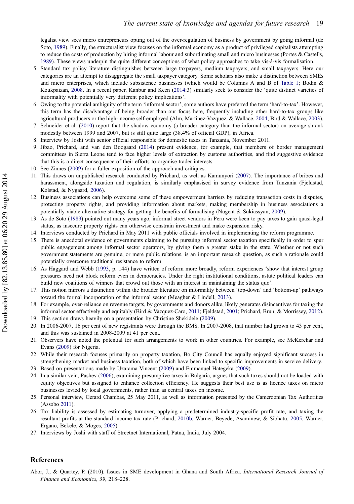<span id="page-21-0"></span>legalist view sees micro entrepreneurs opting out of the over-regulation of business by government by going informal (de Soto, 1989). Finally, the structuralist view focuses on the informal economy as a product of privileged capitalists attempting to reduce the costs of production by hiring informal labour and subordinating small and micro businesses (Portes  $\&$  Castells, [1989](#page-23-0)). These views underpin the quite different conceptions of what policy approaches to take vis-à-vis formalisation.

- 5. Standard tax policy literature distinguishes between large taxpayers, medium taxpayers, and small taxpayers. Here our categories are an attempt to disaggregate the small taxpayer category. Some scholars also make a distinction between SMEs and micro enterprises, which include subsistence businesses (which would be Columns A and B of [Table 1](#page-5-0); Bodin & Koukpaizan, 2008. In a recent paper, Kanbur and Keen [\(2014](#page-23-0):3) similarly seek to consider the 'quite distinct varieties of informality with potentially very different policy implications'.
- 6. Owing to the potential ambiguity of the term 'informal sector', some authors have preferred the term 'hard-to-tax'. However, this term has the disadvantage of being broader than our focus here, frequently including other hard-to-tax groups like agricultural producers or the high-income self-employed (Alm, Martinez-Vazquez, & Wallace, 2004; Bird & Wallace, 2003).
- 7. Schneider et al. ([2010\)](#page-24-0) report that the shadow economy (a broader category than the informal sector) on average shrank modestly between 1999 and 2007, but is still quite large (38.4% of official GDP), in Africa.
- 8. Interview by Joshi with senior official responsible for domestic taxes in Tanzania, November 2011.
- 9. Jibao, Prichard, and van den Boogaard [\(2014](#page-22-0)) present evidence, for example, that members of border management committees in Sierra Leone tend to face higher levels of extraction by customs authorities, and find suggestive evidence that this is a direct consequence of their efforts to organise trader interests.
- 10. See Zinnes [\(2009\)](#page-24-0) for a fuller exposition of the approach and critiques.
- 11. This draws on unpublished research conducted by Prichard, as well as Kamunyori ([2007\)](#page-22-0). The importance of bribes and harassment, alongside taxation and regulation, is similarly emphasised in survey evidence from Tanzania (Fjeldstad, Kolstad, & Nygaard, [2006](#page-22-0)).
- 12. Business associations can help overcome some of these empowerment barriers by reducing transaction costs in disputes, protecting property rights, and providing information about markets, making membership in business associations a potentially viable alternative strategy for getting the benefits of formalising (Nugent & Sukiassyan, [2009\)](#page-23-0).
- 13. As de Soto (1989) pointed out many years ago, informal street vendors in Peru were keen to pay taxes to gain quasi-legal status, as insecure property rights can otherwise constrain investment and make expansion risky.
- 14. Interviews conducted by Prichard in May 2011 with public officials involved in implementing the reform programme.
- 15. There is anecdotal evidence of governments claiming to be pursuing informal sector taxation specifically in order to spur public engagement among informal sector operators, by giving them a greater stake in the state. Whether or not such government statements are genuine, or mere public relations, is an important research question, as such a rationale could potentially overcome traditional resistance to reform.
- 16. As Haggard and Webb ([1993,](#page-22-0) p. 144) have written of reform more broadly, reform experiences 'show that interest group pressures need not block reform even in democracies. Under the right institutional conditions, astute political leaders can build new coalitions of winners that crowd out those with an interest in maintaining the status quo'.
- 17. This notion mirrors a distinction within the broader literature on informality between 'top-down' and 'bottom-up' pathways toward the formal incorporation of the informal sector (Meagher & Lindell, [2013](#page-23-0)).
- 18. For example, over-reliance on revenue targets, by governments and donors alike, likely generates disincentives for taxing the informal sector effectively and equitably (Bird & Vazquez-Caro, 2011; Fjeldstad, 2001; Prichard, Brun, & Morrissey, [2012](#page-24-0)).
- 19. This section draws heavily on a presentation by Christine Shekidele [\(2009](#page-24-0)).
- 20. In 2006-2007, 16 per cent of new registrants were through the BMS. In 2007-2008, that number had grown to 43 per cent, and this was sustained in 2008-2009 at 41 per cent.
- 21. Observers have noted the potential for such arrangements to work in other countries. For example, see McKerchar and Evans [\(2009\)](#page-23-0) for Nigeria.
- 22. While their research focuses primarily on property taxation, Bo City Council has equally enjoyed significant success in strengthening market and business taxation, both of which have been linked to specific improvements in service delivery.
- 23. Based on presentations made by Uzarama Vincent ([2009\)](#page-24-0) and Emmanuel Hategeka ([2009\)](#page-22-0).
- 24. In a similar vein, Pashev ([2006\)](#page-23-0), examining presumptive taxes in Bulgaria, argues that such taxes should not be loaded with equity objectives but assigned to enhance collection efficiency. He suggests their best use is as licence taxes on micro businesses levied by local governments, rather than as central taxes on income.
- 25. Personal interview, Gerard Chambas, 25 May 2011, as well as information presented by the Cameroonian Tax Authorities (Assobo 2011).
- 26. Tax liability is assessed by estimating turnover, applying a predetermined industry-specific profit rate, and taxing the resultant profits at the standard income tax rate (Prichard, [2010b;](#page-24-0) Warner, Beyede, Asaminew, & Sibhatu, [2005;](#page-24-0) Warner, Ergano, Bekele, & Moges, [2005](#page-24-0)).
- 27. Interviews by Joshi with staff of Streetnet International, Patna, India, July 2004.

#### References

Abor, J., & Quartey, P. (2010). Issues in SME development in Ghana and South Africa. *International Research Journal of Finance and Economics*, *39*, 218–228.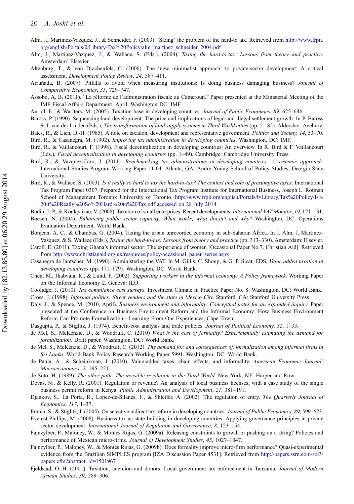- <span id="page-22-0"></span>Alm, J., Martinez-Vazquez, J., & Schneider, F. (2003). 'Sizing' the problem of the hard-to tax. Retrieved from [http://www.frpii.](http://www.frpii.org/english/Portals/0/Library/Tax%20Policy/alm_martinez_schneider_2004.pdf) [org/english/Portals/0/Library/Tax%20Policy/alm\\_martinez\\_schneider\\_2004.pdf](http://www.frpii.org/english/Portals/0/Library/Tax%20Policy/alm_martinez_schneider_2004.pdf)
- Alm, J., Martinez-Vazquez, J., & Wallace, S. (Eds.). (2004). *Taxing the hard-to-tax: Lessons from theory and practice*. Amsterdam: Elsevier.
- Altenburg, T., & von Drachenfels, C. (2006). The 'new minimalist approach' to private-sector development: A critical assessment. *Development Policy Review*, *24*, 387–411.
- Arruñada, B. (2007). Pitfalls to avoid when measuring institutions: Is doing business damaging business? *Journal of Comparative Economics*, *35*, 729–747.
- Assobo, A. B. (2011). "La réforme de l'administration fiscale au Cameroun." Paper presented at the Ministerial Meeting of the IMF Fiscal Affairs Department. April, Washington DC: IMF.
- Auriol, E., & Warlters, M. (2005). Taxation base in developing countries. *Journal of Public Economics*, *89*, 625–646.
- Baross, P. (1990). Sequencing land development: The price and implications of legal and illegal settlement growth. In P. Baross
- & J. van der Linden (Eds.), *The transformation of land supply systems in Third World cities* (pp. 5 –82). Aldershot: Avebury.
- Bates, R., & Lien, D.-H. (1985). A note on taxation, development and representative government. *Politics and Society*, *14*, 53–70.
- Bird, R., & Casanegra, M. (1992). *Improving tax administration in developing countries*. Washington, DC: IMF.
- Bird, R., & Vaillancourt, F. (1998). Fiscal decentralization in developing countries: An overview. In R. Bird & F. Vaillancourt (Eds.), *Fiscal decentralization in developing countries* (pp. 1–49). Cambridge: Cambridge University Press.
- Bird, R., & Vazquez-Caro, J. (2011). *Benchmarking tax administrations in developing countries: A systemic approach*. International Studies Program Working Paper 11-04. Atlanta, GA: Andre Young School of Policy Studies, Georgia State University.
- Bird, R., & Wallace, S. (2003). *Is it really so hard to tax the hard-to-tax? The context and role of presumptive taxes*. International Tax Program Paper 0307. Prepared for the International Tax Program Institute for International Business, Joseph L. Rotman School of Management Toronto: University of Toronto. [http://www.frpii.org/english/Portals/0/Library/Tax%20Policy/Is%](http://www.frpii.org/english/Portals/0/Library/Tax%20Policy/Is%20it%20Really%20So%20Hard%20to%20Tax.pdf accessed on 28 July 2014) [20it%20Really%20So%20Hard%20to%20Tax.pdf accessed on 28 July 2014.](http://www.frpii.org/english/Portals/0/Library/Tax%20Policy/Is%20it%20Really%20So%20Hard%20to%20Tax.pdf accessed on 28 July 2014)
- Bodin, J.-P., & Koukpaizan, V. (2008). Taxation of small enterprises: Recent developments. *International VAT Monitor*, *19*, 121–131.
- Boesen, N. (2004). *Enhancing public sector capacity: What works, what doesn*'*t and why?* Washington, DC: Operations Evaluation Department, World Bank.
- Bonjean, A. C., & Chambas, G. (2004). Taxing the urban unrecorded economy in sub-Saharan Africa. In J. Alm, J. Martinez-Vasquez, & S. Wallace (Eds.), *Taxing the hard-to-tax: Lessons from theory and practice* (pp. 313–330). Amsterdam: Elsevier.
- Caroll, E. (2011). Taxing Ghana's informal sector: The experience of women [Occasional Paper No.7. Christian Aid]. Retrieved from [http://www.christianaid.org.uk/resources/policy/occasional\\_paper\\_series.aspx](http://www.christianaid.org.uk/resources/policy/occasional_paper_series.aspx)
- Casanegra de Jantscher, M. (1990). Administering the VAT. In M. Gillis, C. Shoup, & G. P. Sicat, EDS, *Value added taxation in developing countries* (pp. 171–179). Washington, DC: World Bank.
- Chen, M., Jhabvala, R., & Lund, F. (2002). *Supporting workers in the informal economy: A Policy framework*. Working Paper on the Informal Economy 2. Geneva: ILO.
- Coolidge, J. (2010). *Tax compliance cost surveys*. Investment Climate in Practice Paper No. 8. Washington, DC: World Bank.
- Cross, J. (1998). *Informal politics: Street vendors and the state in Mexico City*. Stanford, CA: Stanford University Press.
- Daly, J., & Spence, M. (2010, April). *Business environment and informality: Conceptual notes for an expanded inquiry*. Paper presented at the Conference on Business Environment Reform and the Informal Economy: How Business Environment Reform Can Promote Formalization - Learning From Our Experiences, Cape Town.
- Dasgupta, P., & Stiglitz, J. (1974). Benefit-cost analysis and trade policies. *Journal of Political Economy*, *82*, 1–33.
- de Mel, S., McKenzie, D., & Woodruff, C. (2010) *What is the cost of formality? Experimentally estimating the demand for formalization*. Draft paper. Washington, DC: World Bank.
- de Mel, S., McKenzie, D., & Woodruff, C. (2012). *The demand for, and consequences of, formalization among informal firms in Sri Lanka*. World Bank Policy Research Working Paper 5991. Washington, DC: World Bank.
- de Paula, A., & Scheinkman, J. (2010). Value-added taxes, chain effects, and informality. *American Economic Journal: Macroeconomics*, *2*, 195–221.
- de Soto, H. (1989). *The other path: The invisible revolution in the Third World*. New York, NY: Harper and Row.
- Devas, N., & Kelly, R. (2001). Regulation or revenue? An analysis of local business licenses, with a case study of the single business permit reform in Kenya. *Public Administration and Development*, *21*, 381–191.
- Djankov, S., La Porta, R., Lopez-de-Silanes, F., & Shleifer, A. (2002). The regulation of entry. *The Quarterly Journal of Economics*, *117*, 1–37.
- Emran, S., & Stiglitz, J. (2005). On selective indirect tax reform in developing countries. *Journal of Public Economics*, *89*, 599–623.
- Everest-Phillips, M. (2008). Business tax as state building in developing countries: Applying governance principles in private sector development. *International Journal of Regulation and Governance*, *8*, 123–154.
- Fajnzylber, P., Maloney, W., & Montes Rojas, G. (2009a). Releasing constraints to growth or pushing on a string? Policies and performance of Mexican micro-firms. *Journal of Development Studies*, *45*, 1027–1047.
- Fajnzylber, P., Maloney, W., & Montes Rojas, G. (2009b). Does formality improve micro-firm performance? Quasi-experimental evidence from the Brazilian SIMPLES program [IZA Discussion Paper 4531]. Retrieved from [http://papers.ssrn.com/sol3/](http://papers.ssrn.com/sol3/papers.cfm?abstract_id=1501967) [papers.cfm?abstract\\_id=1501967](http://papers.ssrn.com/sol3/papers.cfm?abstract_id=1501967)
- Fjeldstad, O.-H. (2001). Taxation, coercion and donors: Local government tax enforcement in Tanzania. *Journal of Modern African Studies*, *39*, 289–306.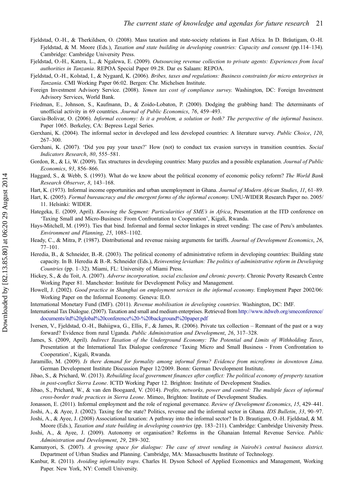- <span id="page-23-0"></span>Fjeldstad, O.-H., & Therkildsen, O. (2008). Mass taxation and state-society relations in East Africa. In D. Bräutigam, O.-H. Fjeldstad, & M. Moore (Eds.), *Taxation and state building in developing countries: Capacity and consent* (pp.114–134). Cambridge: Cambridge University Press.
- Fjeldstad, O.-H., Katera, L., & Ngalewa, E. (2009). *Outsourcing revenue collection to private agents: Experiences from local authorities in Tanzania*. REPOA Special Paper 09.28. Dar es Salaam: REPOA.
- Fjeldstad, O.-H., Kolstad, I., & Nygaard, K. (2006). *Bribes, taxes and regulations: Business constraints for micro enterprises in Tanzania*. CMI Working Paper 06:02. Bergen: Chr. Michelsen Institute.
- Foreign Investment Advisory Service. (2008). *Yemen tax cost of compliance survey*. Washington, DC: Foreign Investment Advisory Services, World Bank.
- Friedman, E., Johnson, S., Kaufmann, D., & Zoido-Lobaton, P. (2000). Dodging the grabbing hand: The determinants of unofficial activity in 69 countries. *Journal of Public Economics*, *76*, 459–493.
- Garcia-Bolivar, O. (2006). *Informal economy: Is it a problem, a solution or both? The perspective of the informal business*. Paper 1065. Berkeley, CA: Bepress Legal Series.
- Gerxhani, K. (2004). The informal sector in developed and less developed countries: A literature survey. *Public Choice*, *120*, 267–300.
- Gerxhani, K. (2007). 'Did you pay your taxes?' How (not) to conduct tax evasion surveys in transition countries. *Social Indicators Research*, *80*, 555–581.
- Gordon, R., & Li, W. (2009). Tax structures in developing countries: Many puzzles and a possible explanation. *Journal of Public Economics*, *93*, 856–866.
- Haggard, S., & Webb, S. (1993). What do we know about the political economy of economic policy reform? *The World Bank Research Observer*, *8*, 143–168.
- Hart, K. (1973). Informal income opportunities and urban unemployment in Ghana. *Journal of Modern African Studies*, *11*, 61–89.
- Hart, K. (2005). *Formal bureaucracy and the emergent forms of the informal economy*. UNU-WIDER Research Paper no. 2005/ 11. Helsinki: WIDER.
- Hategeka, E. (2009, April). *Knowing the Segment: Particularities of SME*'*s in Africa*, Presentation at the ITD conference on 'Taxing Small and Micro-Business: From Confrontation to Cooperation', Kigali, Rwanda.
- Hays-Mitchell, M. (1993). Ties that bind. Informal and formal sector linkages in street vending: The case of Peru's ambulantes. *Environment and Planning*, *25*, 1085–1102.
- Heady, C., & Mitra, P. (1987). Distributional and revenue raising arguments for tariffs. *Journal of Development Economics*, *26*, 77–101.
- Heredia, B., & Schneider, B.-R. (2003). The political economy of administrative reform in developing countries: Building state capacity. In B. Heredia & B.-R. Schneider (Eds.), *Reinventing leviathan: The politics of administrative reform in Developing Countries* (pp. 1–32). Miami, FL: University of Miami Press.
- Hickey, S., & du Toit, A. (2007). *Adverse incorporation, social exclusion and chronic poverty*. Chronic Poverty Research Centre Working Paper 81. Manchester: Institute for Development Policy and Management.
- Howell, J. (2002). *Good practice in Shanghai on employment services in the informal economy*. Employment Paper 2002/06: Working Paper on the Informal Economy. Geneva: ILO.
- International Monetary Fund (IMF). (2011). *Revenue mobilisation in developing countries*. Washington, DC: IMF.
- International Tax Dialogue. (2007). Taxation and small and medium enterprises. Retrieved from [http://www.itdweb.org/smeconference/](http://www.itdweb.org/smeconference/documents/itd%20global%20conference%20-%20background%20paper.pdf) [documents/itd%20global%20conference%20-%20background%20paper.pdf](http://www.itdweb.org/smeconference/documents/itd%20global%20conference%20-%20background%20paper.pdf)
- Iversen, V., Fjeldstad, O.-H., Bahiigwa, G., Ellis, F., & James, R. (2006). Private tax collection Remnant of the past or a way forward? Evidence from rural Uganda. *Public Administration and Development*, *26*, 317–328.
- James, S. (2009, April). *Indirect Taxation of the Underground Economy: The Potential and Limits of Withholding Taxes*, Presentation at the International Tax Dialogue conference 'Taxing Micro and Small Business - From Confrontation to Cooperation', Kigali, Rwanda.
- Jaramillo, M. (2009). *Is there demand for formality among informal firms? Evidence from microfirms in downtown Lima*. German Development Institute Discussion Paper 12/2009. Bonn: German Development Institute.
- Jibao, S., & Prichard, W. (2013). *Rebuilding local government finances after conflict: The political economy of property taxation in post-conflict Sierra Leone*. ICTD Working Paper 12. Brighton: Institute of Development Studies.
- Jibao, S., Prichard, W., & van den Boogaard, V. (2014). *Profits, networks, power and control: The multiple faces of informal cross-border trade practices in Sierra Leone*. Mimeo, Brighton: Institute of Development Studies.
- Jonasson, E. (2011). Informal employment and the role of regional governance. *Review of Development Economics*, *15*, 429–441.
- Joshi, A., & Ayee, J. (2002). Taxing for the state? Politics, revenue and the informal sector in Ghana. *IDS Bulletin*, *33*, 90–97.
- Joshi, A., & Ayee, J. (2008) Associational taxation: A pathway into the informal sector? In D. Brautigam, O.-H. Fjeldstad, & M. Moore (Eds.), *Taxation and state building in developing countries* (pp. 183–211). Cambridge: Cambridge University Press.
- Joshi, A., & Ayee, J. (2009). Autonomy or organisation? Reforms in the Ghanaian Internal Revenue Service. *Public Administration and Development*, *29*, 289–302.
- Kamunyori, S. (2007). *A growing space for dialogue: The case of street vending in Nairobi*'*s central business district*. Department of Urban Studies and Planning. Cambridge, MA: Massachusetts Institute of Technology.
- Kanbur, R. (2011). *Avoiding informality traps*. Charles H. Dyson School of Applied Economics and Management, Working Paper. New York, NY: Cornell University.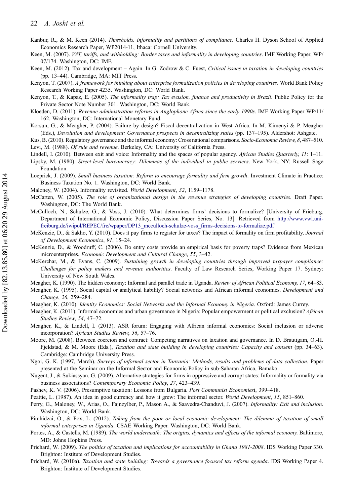- <span id="page-24-0"></span>Kanbur, R., & M. Keen (2014). *Thresholds, informality and partitions of compliance*. Charles H. Dyson School of Applied Economics Research Paper, WP2014-11, Ithaca: Cornell University.
- Keen, M. (2007). *VAT, tariffs, and withholding: Border taxes and informality in developing countries*. IMF Working Paper, WP/ 07/174. Washington, DC: IMF.
- Keen, M. (2012). Tax and development Again. In G. Zodrow & C. Fuest, *Critical issues in taxation in developing countries* (pp. 13–44). Cambridge, MA: MIT Press.
- Kenyon, T. (2007). *A framework for thinking about enterprise formalization policies in developing countries*. World Bank Policy Research Working Paper 4235. Washington, DC: World Bank.
- Kenyon, T., & Kapaz, E. (2005). *The informality trap: Tax evasion, finance and productivity in Brazil*. Public Policy for the Private Sector Note Number 301. Washington, DC: World Bank.
- Kloeden, D. (2011). *Revenue administration reforms in Anglophone Africa since the early 1990s*. IMF Working Paper WP/11/ 162. Washington, DC: International Monetary Fund.
- Korsun, G., & Meagher, P. (2004). Failure by design? Fiscal decentralization in West Africa. In M. Kimenyi & P. Meagher (Eds.), *Devolution and development: Governance prospects in decentralizing states* (pp. 137–195). Aldershot: Ashgate.
- Kus, B. (2010). Regulatory governance and the informal economy: Cross national comparisons. *Socio-Economic Review*, *8*, 487–510. Levi, M. (1988). *Of rule and revenue*. Berkeley, CA: University of California Press.
- Lindell, I. (2010). Between exit and voice: Informality and the spaces of popular agency. *African Studies Quarterly*, *11*: 1–11.
- Lipsky, M. (1980). *Street-level bureaucracy: Dilemmas of the individual in public services*. New York, NY: Russell Sage Foundation.
- Loeprick, J. (2009). *Small business taxation: Reform to encourage formality and firm growth*. Investment Climate in Practice: Business Taxation No. 1. Washington, DC: World Bank.
- Maloney, W. (2004). Informality revisited. *World Development*, *32*, 1159–1178.
- McCarten, W. (2005). *The role of organizational design in the revenue strategies of developing countries*. Draft Paper. Washington, DC: The World Bank.
- McCulloch, N., Schulze, G., & Voss, J. (2010). What determines firms' decisions to formalize? [University of Frieburg, Department of International Economic Policy, Discussion Paper Series, No. 13]. Retrieved from [http://www.vwl.uni](http://www.vwl.uni-freiburg.de/iwipol/REPEC/fre/wpaper/DP13_mcculloch-schulze-voss_firms-decisions-to-formalize.pdf)[freiburg.de/iwipol/REPEC/fre/wpaper/DP13\\_mcculloch-schulze-voss\\_firms-decisions-to-formalize.pdf](http://www.vwl.uni-freiburg.de/iwipol/REPEC/fre/wpaper/DP13_mcculloch-schulze-voss_firms-decisions-to-formalize.pdf)
- McKenzie, D., & Sakho, Y. (2010). Does it pay firms to register for taxes? The impact of formality on firm profitability. *Journal of Development Economics*, *91*, 15–24.
- McKenzie, D., & Woodruff, C. (2006). Do entry costs provide an empirical basis for poverty traps? Evidence from Mexican microenterprises. *Economic Development and Cultural Change*, *55*, 3–42.
- McKerchar, M., & Evans, C. (2009). *Sustaining growth in developing countries through improved taxpayer compliance: Challenges for policy makers and revenue authorities*. Faculty of Law Research Series, Working Paper 17. Sydney: University of New South Wales.
- Meagher, K. (1990). The hidden economy: Informal and parallel trade in Uganda. *Review of African Political Economy*, *17*, 64–83.
- Meagher, K. (1995). Social capital or analytical liability? Social networks and African informal economies. *Development and Change*, *26*, 259–284.
- Meagher, K. (2010). *Identity Economics: Social Networks and the Informal Economy in Nigeria*. Oxford: James Currey.
- Meagher, K. (2011). Informal economies and urban governance in Nigeria: Popular empowerment or political exclusion? *African Studies Review*, *54*, 47–72.
- Meagher, K., & Lindell, I. (2013). ASR forum: Engaging with African informal economies: Social inclusion or adverse incorporation? *African Studies Review*, *56*, 57–76.
- Moore, M. (2008). Between coercion and contract: Competing narratives on taxation and governance. In D. Brautigam, O.-H. Fjeldstad, & M. Moore (Eds.), *Taxation and state building in developing countries: Capacity and consent* (pp. 34–63). Cambridge: Cambridge University Press.
- Ngoi, G. K. (1997, March). *Surveys of informal sector in Tanzania: Methods, results and problems of data collection*. Paper presented at the Seminar on the Informal Sector and Economic Policy in sub-Saharan Africa, Bamako.
- Nugent, J., & Sukiassyan, G. (2009). Alternative strategies for firms in oppressive and corrupt states: Informality or formality via business associations? *Contemporary Economic Policy*, *27*, 423–439.
- Pashev, K. V. (2006). Presumptive taxation: Lessons from Bulgaria. *Post Communist Economies*i, 399–418.
- Peattie, L. (1987). An idea in good currency and how it grew: The informal sector. *World Development*, *15*, 851–860.
- Perry, G., Maloney, W., Arias, O., Fajnzylber, P., Mason A., & Saavedra-Chanduvi, J. (2007). *Informality: Exit and inclusion*. Washington, DC: World Bank.
- Pimhidzai, O., & Fox, L. (2012). *Taking from the poor or local economic development: The dilemma of taxation of small informal enterprises in Uganda*. CSAE Working Paper. Washington, DC: World Bank.
- Portes, A., & Castells, M. (1989). *The world underneath: The origins, dynamics and effects of the informal economy*. Baltimore, MD: Johns Hopkins Press.
- Prichard, W. (2009). *The politics of taxation and implications for accountability in Ghana 1981-2008*. IDS Working Paper 330. Brighton: Institute of Development Studies.
- Prichard, W. (2010a). *Taxation and state building: Towards a governance focused tax reform agenda*. IDS Working Paper 4. Brighton: Institute of Development Studies.